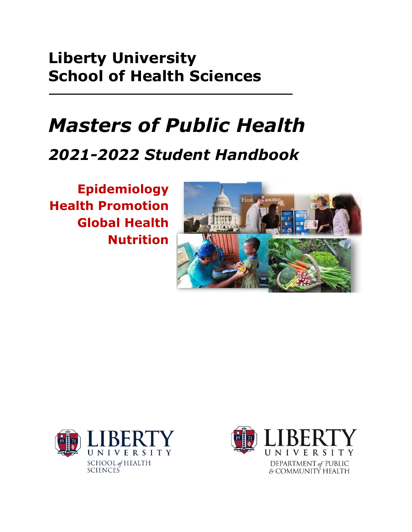# **Liberty University School of Health Sciences**

# *Masters of Public Health*

# *2021-2022 Student Handbook*

**Epidemiology Health Promotion Global Health Nutrition**





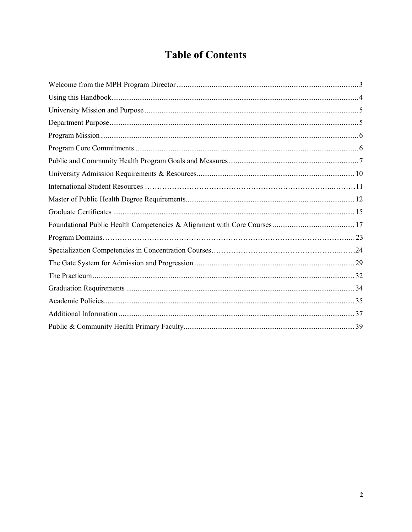# **Table of Contents**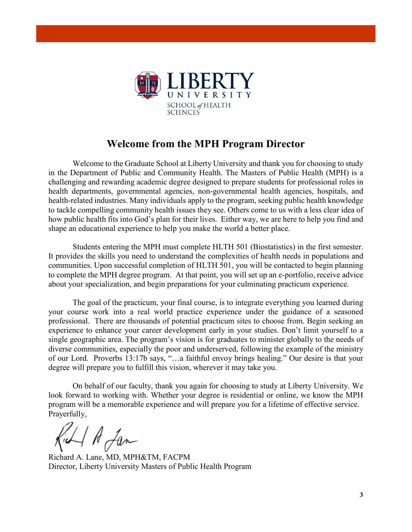

# **Welcome from the MPH Program Director**

Welcome to the Graduate School at Liberty University and thank you for choosing to study in the Department of Public and Community Health. The Masters of Public Health (MPH) is a challenging and rewarding academic degree designed to prepare students for professional roles in health departments, governmental agencies, non-governmental health agencies, hospitals, and health-related industries. Many individuals apply to the program, seeking public health knowledge to tackle compelling community health issues they see. Others come to us with a less clear idea of how public health fits into God's plan for their lives. Either way, we are here to help you find and shape an educational experience to help you make the world a better place.

Students entering the MPH must complete HLTH 501 (Biostatistics) in the first semester. It provides the skills you need to understand the complexities of health needs in populations and communities. Upon successful completion of HLTH 501, you will be contacted to begin planning to complete the MPH degree program. At that point, you will set up an e-portfolio, receive advice about your specialization, and begin preparations for your culminating practicum experience.

The goal of the practicum, your final course, is to integrate everything you learned during your course work into a real world practice experience under the guidance of a seasoned professional. There are thousands of potential practicum sites to choose from. Begin seeking an experience to enhance your career development early in your studies. Don't limit yourself to a single geographic area. The program's vision is for graduates to minister globally to the needs of diverse communities, especially the poor and underserved, following the example of the ministry of our Lord. Proverbs 13:17b says, "…a faithful envoy brings healing." Our desire is that your degree will prepare you to fulfill this vision, wherever it may take you.

On behalf of our faculty, thank you again for choosing to study at Liberty University. We look forward to working with. Whether your degree is residential or online, we know the MPH program will be a memorable experience and will prepare you for a lifetime of effective service. Prayerfully,

ill A Jan

Richard A. Lane, MD, MPH&TM, FACPM Director, Liberty University Masters of Public Health Program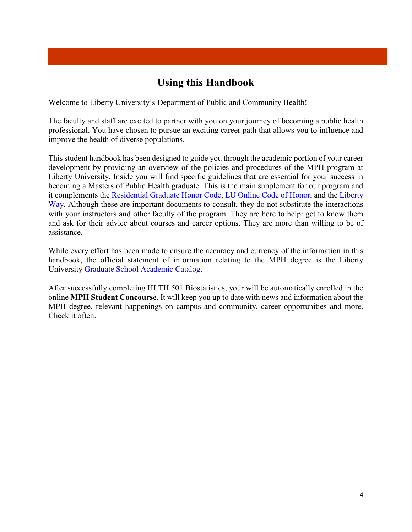# **Using this Handbook**

Welcome to Liberty University's Department of Public and Community Health!

The faculty and staff are excited to partner with you on your journey of becoming a public health professional. You have chosen to pursue an exciting career path that allows you to influence and improve the health of diverse populations.

This student handbook has been designed to guide you through the academic portion of your career development by providing an overview of the policies and procedures of the MPH program at Liberty University. Inside you will find specific guidelines that are essential for your success in becoming a Masters of Public Health graduate. This is the main supplement for our program and it complements the Residential Graduate Honor Code, LU Online Code of Honor, and the Liberty Way. Although these are important documents to consult, they do not substitute the interactions with your instructors and other faculty of the program. They are here to help: get to know them and ask for their advice about courses and career options. They are more than willing to be of assistance.

While every effort has been made to ensure the accuracy and currency of the information in this handbook, the official statement of information relating to the MPH degree is the Liberty University Graduate School Academic Catalog.

After successfully completing HLTH 501 Biostatistics, your will be automatically enrolled in the online **MPH Student Concourse**. It will keep you up to date with news and information about the MPH degree, relevant happenings on campus and community, career opportunities and more. Check it often.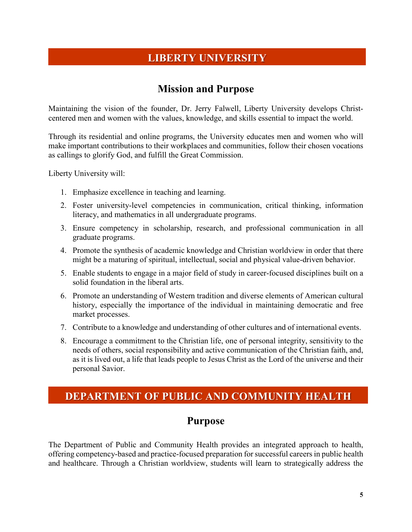# **LIBERTY UNIVERSITY**

# **Mission and Purpose**

Maintaining the vision of the founder, Dr. Jerry Falwell, Liberty University develops Christcentered men and women with the values, knowledge, and skills essential to impact the world.

Through its residential and online programs, the University educates men and women who will make important contributions to their workplaces and communities, follow their chosen vocations as callings to glorify God, and fulfill the Great Commission.

Liberty University will:

- 1. Emphasize excellence in teaching and learning.
- 2. Foster university-level competencies in communication, critical thinking, information literacy, and mathematics in all undergraduate programs.
- 3. Ensure competency in scholarship, research, and professional communication in all graduate programs.
- 4. Promote the synthesis of academic knowledge and Christian worldview in order that there might be a maturing of spiritual, intellectual, social and physical value-driven behavior.
- 5. Enable students to engage in a major field of study in career-focused disciplines built on a solid foundation in the liberal arts.
- 6. Promote an understanding of Western tradition and diverse elements of American cultural history, especially the importance of the individual in maintaining democratic and free market processes.
- 7. Contribute to a knowledge and understanding of other cultures and of international events.
- 8. Encourage a commitment to the Christian life, one of personal integrity, sensitivity to the needs of others, social responsibility and active communication of the Christian faith, and, as it is lived out, a life that leads people to Jesus Christ as the Lord of the universe and their personal Savior.

# **DEPARTMENT OF PUBLIC AND COMMUNITY HEALTH**

### **Purpose**

The Department of Public and Community Health provides an integrated approach to health, offering competency-based and practice-focused preparation for successful careers in public health and healthcare. Through a Christian worldview, students will learn to strategically address the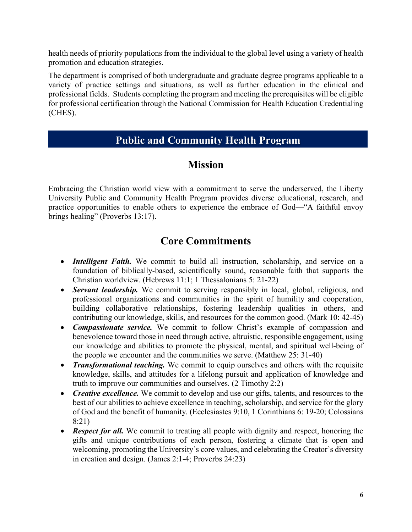health needs of priority populations from the individual to the global level using a variety of health promotion and education strategies.

The department is comprised of both undergraduate and graduate degree programs applicable to a variety of practice settings and situations, as well as further education in the clinical and professional fields. Students completing the program and meeting the prerequisites will be eligible for professional certification through the National Commission for Health Education Credentialing (CHES).

# **Public and Community Health Program**

# **Mission**

Embracing the Christian world view with a commitment to serve the underserved, the Liberty University Public and Community Health Program provides diverse educational, research, and practice opportunities to enable others to experience the embrace of God—"A faithful envoy brings healing" (Proverbs 13:17).

# **Core Commitments**

- *Intelligent Faith*. We commit to build all instruction, scholarship, and service on a foundation of biblically-based, scientifically sound, reasonable faith that supports the Christian worldview. (Hebrews 11:1; 1 Thessalonians 5: 21-22)
- *Servant leadership.* We commit to serving responsibly in local, global, religious, and professional organizations and communities in the spirit of humility and cooperation, building collaborative relationships, fostering leadership qualities in others, and contributing our knowledge, skills, and resources for the common good. (Mark 10: 42-45)
- *Compassionate service.* We commit to follow Christ's example of compassion and benevolence toward those in need through active, altruistic, responsible engagement, using our knowledge and abilities to promote the physical, mental, and spiritual well-being of the people we encounter and the communities we serve. (Matthew 25: 31-40)
- *Transformational teaching.* We commit to equip ourselves and others with the requisite knowledge, skills, and attitudes for a lifelong pursuit and application of knowledge and truth to improve our communities and ourselves. (2 Timothy 2:2)
- *Creative excellence*. We commit to develop and use our gifts, talents, and resources to the best of our abilities to achieve excellence in teaching, scholarship, and service for the glory of God and the benefit of humanity. (Ecclesiastes 9:10, 1 Corinthians 6: 19-20; Colossians 8:21)
- *Respect for all.* We commit to treating all people with dignity and respect, honoring the gifts and unique contributions of each person, fostering a climate that is open and welcoming, promoting the University's core values, and celebrating the Creator's diversity in creation and design. (James 2:1-4; Proverbs 24:23)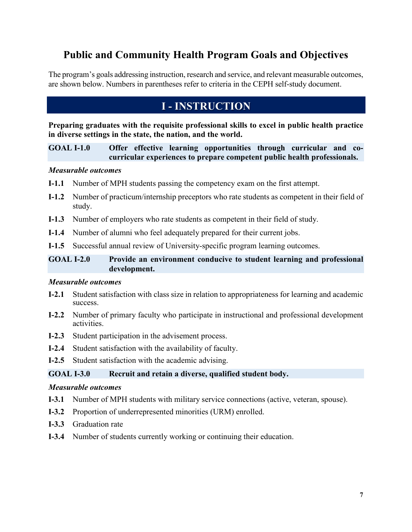# **Public and Community Health Program Goals and Objectives**

The program's goals addressing instruction, research and service, and relevant measurable outcomes, are shown below. Numbers in parentheses refer to criteria in the CEPH self-study document.

# **I - INSTRUCTION**

**Preparing graduates with the requisite professional skills to excel in public health practice in diverse settings in the state, the nation, and the world.**

**GOAL I-1.0 Offer effective learning opportunities through curricular and cocurricular experiences to prepare competent public health professionals.**

#### *Measurable outcomes*

- **I-1.1** Number of MPH students passing the competency exam on the first attempt.
- **I-1.2** Number of practicum/internship preceptors who rate students as competent in their field of study.
- **I-1.3** Number of employers who rate students as competent in their field of study.
- **I-1.4** Number of alumni who feel adequately prepared for their current jobs.
- **I-1.5** Successful annual review of University-specific program learning outcomes.

### **GOAL I-2.0 Provide an environment conducive to student learning and professional development.**

#### *Measurable outcomes*

- **I-2.1** Student satisfaction with class size in relation to appropriateness for learning and academic success.
- **I-2.2** Number of primary faculty who participate in instructional and professional development activities.
- **I-2.3** Student participation in the advisement process.
- **I-2.4** Student satisfaction with the availability of faculty.
- **I-2.5** Student satisfaction with the academic advising.

#### **GOAL I-3.0 Recruit and retain a diverse, qualified student body.**

#### *Measurable outcomes*

- **I-3.1** Number of MPH students with military service connections (active, veteran, spouse).
- **I-3.2** Proportion of underrepresented minorities (URM) enrolled.
- **I-3.3** Graduation rate
- **I-3.4** Number of students currently working or continuing their education.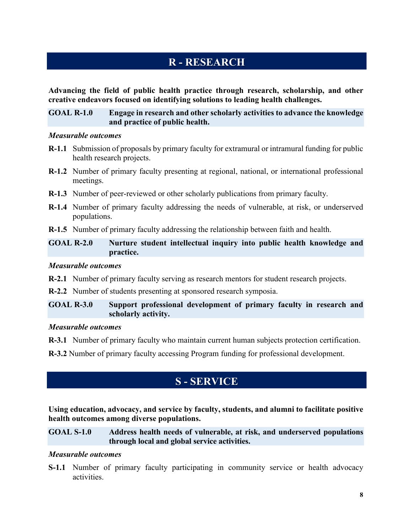# **R - RESEARCH**

**Advancing the field of public health practice through research, scholarship, and other creative endeavors focused on identifying solutions to leading health challenges.** 

#### **GOAL R-1.0 Engage in research and other scholarly activities to advance the knowledge and practice of public health.**

#### *Measurable outcomes*

- **R-1.1** Submission of proposals by primary faculty for extramural or intramural funding for public health research projects.
- **R-1.2** Number of primary faculty presenting at regional, national, or international professional meetings.
- **R-1.3** Number of peer-reviewed or other scholarly publications from primary faculty.
- **R-1.4** Number of primary faculty addressing the needs of vulnerable, at risk, or underserved populations.
- **R-1.5** Number of primary faculty addressing the relationship between faith and health.

#### **GOAL R-2.0 Nurture student intellectual inquiry into public health knowledge and practice.**

#### *Measurable outcomes*

**R-2.1** Number of primary faculty serving as research mentors for student research projects.

**R-2.2** Number of students presenting at sponsored research symposia.

#### **GOAL R-3.0 Support professional development of primary faculty in research and scholarly activity.**

#### *Measurable outcomes*

**R-3.1** Number of primary faculty who maintain current human subjects protection certification.

**R-3.2** Number of primary faculty accessing Program funding for professional development.

# **S - SERVICE**

**Using education, advocacy, and service by faculty, students, and alumni to facilitate positive health outcomes among diverse populations.**

#### **GOAL S-1.0 Address health needs of vulnerable, at risk, and underserved populations through local and global service activities.**

#### *Measurable outcomes*

**S-1.1** Number of primary faculty participating in community service or health advocacy activities.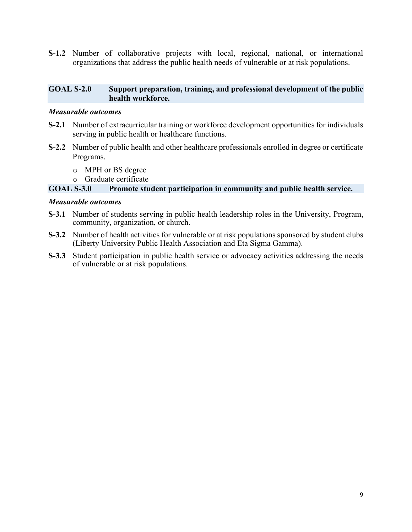**S-1.2** Number of collaborative projects with local, regional, national, or international organizations that address the public health needs of vulnerable or at risk populations.

#### **GOAL S-2.0 Support preparation, training, and professional development of the public health workforce.**

#### *Measurable outcomes*

- **S-2.1** Number of extracurricular training or workforce development opportunities for individuals serving in public health or healthcare functions.
- **S-2.2** Number of public health and other healthcare professionals enrolled in degree or certificate Programs.
	- o MPH or BS degree
	-

#### o Graduate certificate<br>GOAL S-3.0 Promote stu Promote student participation in community and public health service.

#### *Measurable outcomes*

- **S-3.1** Number of students serving in public health leadership roles in the University, Program, community, organization, or church.
- **S-3.2** Number of health activities for vulnerable or at risk populations sponsored by student clubs (Liberty University Public Health Association and Eta Sigma Gamma).
- **S-3.3** Student participation in public health service or advocacy activities addressing the needs of vulnerable or at risk populations.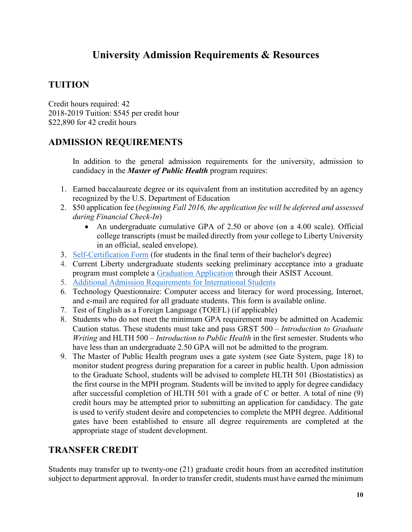# **University Admission Requirements & Resources**

### **TUITION**

Credit hours required: 42 2018-2019 Tuition: \$545 per credit hour \$22,890 for 42 credit hours

### **ADMISSION REQUIREMENTS**

In addition to the general admission requirements for the university, admission to candidacy in the *Master of Public Health* program requires:

- 1. Earned baccalaureate degree or its equivalent from an institution accredited by an agency recognized by the U.S. Department of Education
- 2. \$50 application fee (*beginning Fall 2016, the application fee will be deferred and assessed during Financial Check-In*)
	- An undergraduate cumulative GPA of 2.50 or above (on a 4.00 scale). Official college transcripts (must be mailed directly from your college to Liberty University in an official, sealed envelope).
- 3. Self-Certification Form (for students in the final term of their bachelor's degree)
- 4. Current Liberty undergraduate students seeking preliminary acceptance into a graduate program must complete a Graduation Application through their ASIST Account.
- 5. Additional Admission Requirements for International Students
- 6. Technology Questionnaire: Computer access and literacy for word processing, Internet, and e-mail are required for all graduate students. This form is available online.
- 7. Test of English as a Foreign Language (TOEFL) (if applicable)
- 8. Students who do not meet the minimum GPA requirement may be admitted on Academic Caution status. These students must take and pass GRST 500 – *Introduction to Graduate Writing* and HLTH 500 – *Introduction to Public Health* in the first semester. Students who have less than an undergraduate 2.50 GPA will not be admitted to the program.
- 9. The Master of Public Health program uses a gate system (see Gate System, page 18) to monitor student progress during preparation for a career in public health. Upon admission to the Graduate School, students will be advised to complete HLTH 501 (Biostatistics) as the first course in the MPH program. Students will be invited to apply for degree candidacy after successful completion of HLTH 501 with a grade of C or better. A total of nine (9) credit hours may be attempted prior to submitting an application for candidacy. The gate is used to verify student desire and competencies to complete the MPH degree. Additional gates have been established to ensure all degree requirements are completed at the appropriate stage of student development.

### **TRANSFER CREDIT**

Students may transfer up to twenty-one (21) graduate credit hours from an accredited institution subject to department approval. In order to transfer credit, students must have earned the minimum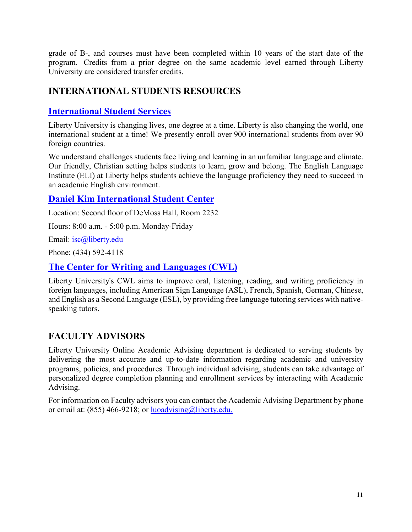grade of B-, and courses must have been completed within 10 years of the start date of the program. Credits from a prior degree on the same academic level earned through Liberty University are considered transfer credits.

### **INTERNATIONAL STUDENTS RESOURCES**

### **International Student Services**

Liberty University is changing lives, one degree at a time. Liberty is also changing the world, one international student at a time! We presently enroll over 900 international students from over 90 foreign countries.

We understand challenges students face living and learning in an unfamiliar language and climate. Our friendly, Christian setting helps students to learn, grow and belong. The English Language Institute (ELI) at Liberty helps students achieve the language proficiency they need to succeed in an academic English environment.

### **Daniel Kim International Student Center**

Location: Second floor of DeMoss Hall, Room 2232

Hours: 8:00 a.m. - 5:00 p.m. Monday-Friday

Email: isc@liberty.edu

Phone: (434) 592-4118

### **The Center for Writing and Languages (CWL)**

Liberty University's CWL aims to improve oral, listening, reading, and writing proficiency in foreign languages, including American Sign Language (ASL), French, Spanish, German, Chinese, and English as a Second Language (ESL), by providing free language tutoring services with nativespeaking tutors.

### **FACULTY ADVISORS**

Liberty University Online Academic Advising department is dedicated to serving students by delivering the most accurate and up-to-date information regarding academic and university programs, policies, and procedures. Through individual advising, students can take advantage of personalized degree completion planning and enrollment services by interacting with Academic Advising.

For information on Faculty advisors you can contact the Academic Advising Department by phone or email at: (855) 466-9218; or luoadvising@liberty.edu.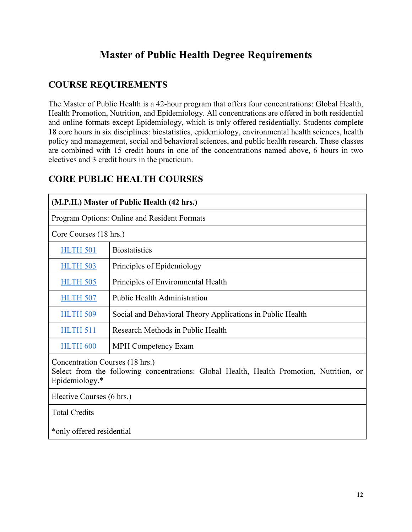# **Master of Public Health Degree Requirements**

### **COURSE REQUIREMENTS**

The Master of Public Health is a 42-hour program that offers four concentrations: Global Health, Health Promotion, Nutrition, and Epidemiology. All concentrations are offered in both residential and online formats except Epidemiology, which is only offered residentially. Students complete 18 core hours in six disciplines: biostatistics, epidemiology, environmental health sciences, health policy and management, social and behavioral sciences, and public health research. These classes are combined with 15 credit hours in one of the concentrations named above, 6 hours in two electives and 3 credit hours in the practicum.

| (M.P.H.) Master of Public Health (42 hrs.)                                                                                                    |                                                            |  |  |
|-----------------------------------------------------------------------------------------------------------------------------------------------|------------------------------------------------------------|--|--|
|                                                                                                                                               | Program Options: Online and Resident Formats               |  |  |
| Core Courses (18 hrs.)                                                                                                                        |                                                            |  |  |
| <b>HLTH 501</b>                                                                                                                               | <b>Biostatistics</b>                                       |  |  |
| <b>HLTH 503</b>                                                                                                                               | Principles of Epidemiology                                 |  |  |
| <b>HLTH 505</b>                                                                                                                               | Principles of Environmental Health                         |  |  |
| <b>HLTH 507</b>                                                                                                                               | <b>Public Health Administration</b>                        |  |  |
| <b>HLTH 509</b>                                                                                                                               | Social and Behavioral Theory Applications in Public Health |  |  |
| <b>HLTH 511</b>                                                                                                                               | Research Methods in Public Health                          |  |  |
| <b>HLTH 600</b>                                                                                                                               | <b>MPH Competency Exam</b>                                 |  |  |
| Concentration Courses (18 hrs.)<br>Select from the following concentrations: Global Health, Health Promotion, Nutrition, or<br>Epidemiology.* |                                                            |  |  |
| Elective Courses (6 hrs.)                                                                                                                     |                                                            |  |  |
| <b>Total Credits</b>                                                                                                                          |                                                            |  |  |
| *only offered residential                                                                                                                     |                                                            |  |  |

### **CORE PUBLIC HEALTH COURSES**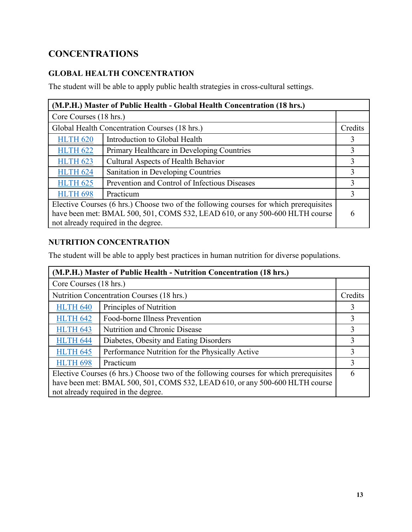# **CONCENTRATIONS**

### **GLOBAL HEALTH CONCENTRATION**

The student will be able to apply public health strategies in cross-cultural settings.

| (M.P.H.) Master of Public Health - Global Health Concentration (18 hrs.)              |                                               |         |  |  |
|---------------------------------------------------------------------------------------|-----------------------------------------------|---------|--|--|
| Core Courses (18 hrs.)                                                                |                                               |         |  |  |
|                                                                                       | Global Health Concentration Courses (18 hrs.) | Credits |  |  |
| <b>HLTH 620</b>                                                                       | Introduction to Global Health                 |         |  |  |
| <b>HLTH 622</b>                                                                       | Primary Healthcare in Developing Countries    |         |  |  |
| <b>HLTH 623</b>                                                                       | Cultural Aspects of Health Behavior           |         |  |  |
| <b>HLTH 624</b>                                                                       | Sanitation in Developing Countries            |         |  |  |
| <b>HLTH 625</b>                                                                       | Prevention and Control of Infectious Diseases |         |  |  |
| <b>HLTH 698</b>                                                                       | Practicum                                     |         |  |  |
| Elective Courses (6 hrs.) Choose two of the following courses for which prerequisites |                                               |         |  |  |
| have been met: BMAL 500, 501, COMS 532, LEAD 610, or any 500-600 HLTH course          |                                               |         |  |  |
| not already required in the degree.                                                   |                                               |         |  |  |

### **NUTRITION CONCENTRATION**

The student will be able to apply best practices in human nutrition for diverse populations.

| (M.P.H.) Master of Public Health - Nutrition Concentration (18 hrs.)                  |                                                 |         |
|---------------------------------------------------------------------------------------|-------------------------------------------------|---------|
| Core Courses (18 hrs.)                                                                |                                                 |         |
|                                                                                       | Nutrition Concentration Courses (18 hrs.)       | Credits |
| <b>HLTH 640</b>                                                                       | Principles of Nutrition                         | 3       |
| <b>HLTH 642</b>                                                                       | Food-borne Illness Prevention                   | 3       |
| <b>HLTH 643</b>                                                                       | Nutrition and Chronic Disease                   | 3       |
| <b>HLTH 644</b>                                                                       | Diabetes, Obesity and Eating Disorders          | 3       |
| <b>HLTH 645</b>                                                                       | Performance Nutrition for the Physically Active | 3       |
| <b>HLTH 698</b>                                                                       | Practicum                                       | 3       |
| Elective Courses (6 hrs.) Choose two of the following courses for which prerequisites |                                                 |         |
| have been met: BMAL 500, 501, COMS 532, LEAD 610, or any 500-600 HLTH course          |                                                 |         |
| not already required in the degree.                                                   |                                                 |         |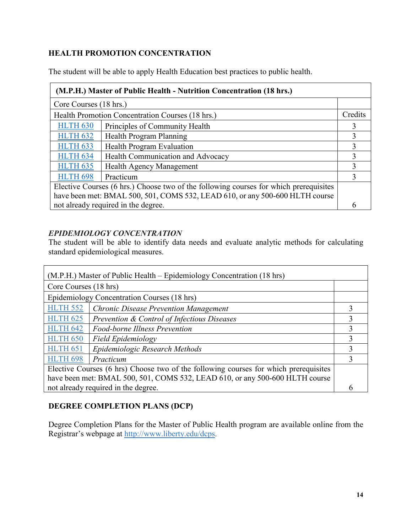### **HEALTH PROMOTION CONCENTRATION**

The student will be able to apply Health Education best practices to public health.

| (M.P.H.) Master of Public Health - Nutrition Concentration (18 hrs.)                  |                                                  |         |  |
|---------------------------------------------------------------------------------------|--------------------------------------------------|---------|--|
| Core Courses (18 hrs.)                                                                |                                                  |         |  |
|                                                                                       | Health Promotion Concentration Courses (18 hrs.) | Credits |  |
| <b>HLTH 630</b>                                                                       | Principles of Community Health                   | 3       |  |
| <b>HLTH 632</b>                                                                       | Health Program Planning                          | 3       |  |
| <b>HLTH 633</b>                                                                       | <b>Health Program Evaluation</b>                 | 3       |  |
| <b>HLTH 634</b>                                                                       | Health Communication and Advocacy                | 3       |  |
| <b>HLTH 635</b>                                                                       | Health Agency Management                         | 3       |  |
| <b>HLTH 698</b>                                                                       | Practicum                                        | 3       |  |
| Elective Courses (6 hrs.) Choose two of the following courses for which prerequisites |                                                  |         |  |
| have been met: BMAL 500, 501, COMS 532, LEAD 610, or any 500-600 HLTH course          |                                                  |         |  |
| not already required in the degree.                                                   |                                                  |         |  |

### *EPIDEMIOLOGY CONCENTRATION*

The student will be able to identify data needs and evaluate analytic methods for calculating standard epidemiological measures.

| (M.P.H.) Master of Public Health – Epidemiology Concentration (18 hrs)               |                                              |   |  |
|--------------------------------------------------------------------------------------|----------------------------------------------|---|--|
| Core Courses (18 hrs)                                                                |                                              |   |  |
|                                                                                      | Epidemiology Concentration Courses (18 hrs)  |   |  |
| <b>HLTH 552</b>                                                                      | <b>Chronic Disease Prevention Management</b> |   |  |
| <b>HLTH 625</b>                                                                      | Prevention & Control of Infectious Diseases  | 3 |  |
| <b>HLTH 642</b>                                                                      | Food-borne Illness Prevention                | 3 |  |
| <b>HLTH 650</b>                                                                      | <b>Field Epidemiology</b>                    | 3 |  |
| <b>HLTH 651</b>                                                                      | Epidemiologic Research Methods               |   |  |
| <b>HLTH 698</b>                                                                      | Practicum                                    |   |  |
| Elective Courses (6 hrs) Choose two of the following courses for which prerequisites |                                              |   |  |
| have been met: BMAL 500, 501, COMS 532, LEAD 610, or any 500-600 HLTH course         |                                              |   |  |
| not already required in the degree.                                                  |                                              |   |  |

### **DEGREE COMPLETION PLANS (DCP)**

Degree Completion Plans for the Master of Public Health program are available online from the Registrar's webpage at http://www.liberty.edu/dcps.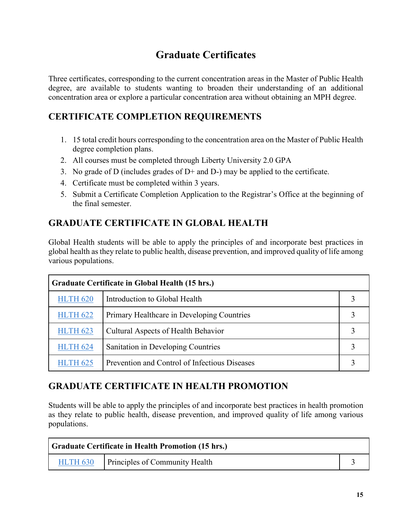# **Graduate Certificates**

Three certificates, corresponding to the current concentration areas in the Master of Public Health degree, are available to students wanting to broaden their understanding of an additional concentration area or explore a particular concentration area without obtaining an MPH degree.

### **CERTIFICATE COMPLETION REQUIREMENTS**

- 1. 15 total credit hours corresponding to the concentration area on the Master of Public Health degree completion plans.
- 2. All courses must be completed through Liberty University 2.0 GPA
- 3. No grade of D (includes grades of D+ and D-) may be applied to the certificate.
- 4. Certificate must be completed within 3 years.
- 5. Submit a Certificate Completion Application to the Registrar's Office at the beginning of the final semester.

### **GRADUATE CERTIFICATE IN GLOBAL HEALTH**

Global Health students will be able to apply the principles of and incorporate best practices in global health as they relate to public health, disease prevention, and improved quality of life among various populations.

| Graduate Certificate in Global Health (15 hrs.) |                                               |  |
|-------------------------------------------------|-----------------------------------------------|--|
| <b>HLTH 620</b>                                 | Introduction to Global Health                 |  |
| <b>HLTH 622</b>                                 | Primary Healthcare in Developing Countries    |  |
| <b>HLTH 623</b>                                 | Cultural Aspects of Health Behavior           |  |
| <b>HLTH 624</b>                                 | Sanitation in Developing Countries            |  |
| <b>HLTH 625</b>                                 | Prevention and Control of Infectious Diseases |  |

### **GRADUATE CERTIFICATE IN HEALTH PROMOTION**

Students will be able to apply the principles of and incorporate best practices in health promotion as they relate to public health, disease prevention, and improved quality of life among various populations.

| <b>Graduate Certificate in Health Promotion (15 hrs.)</b> |                                                |  |
|-----------------------------------------------------------|------------------------------------------------|--|
|                                                           | <b>HLTH 630</b> Principles of Community Health |  |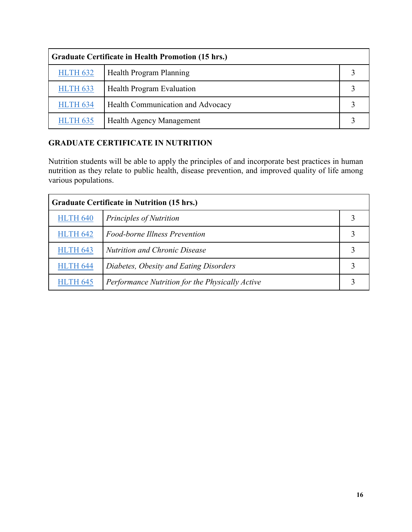| <b>Graduate Certificate in Health Promotion (15 hrs.)</b> |                                   |  |
|-----------------------------------------------------------|-----------------------------------|--|
| <b>HLTH 632</b>                                           | Health Program Planning           |  |
| <b>HLTH 633</b>                                           | <b>Health Program Evaluation</b>  |  |
| <b>HLTH 634</b>                                           | Health Communication and Advocacy |  |
| <b>HLTH 635</b>                                           | Health Agency Management          |  |

### **GRADUATE CERTIFICATE IN NUTRITION**

Nutrition students will be able to apply the principles of and incorporate best practices in human nutrition as they relate to public health, disease prevention, and improved quality of life among various populations.

| <b>Graduate Certificate in Nutrition (15 hrs.)</b> |                                                 |  |  |
|----------------------------------------------------|-------------------------------------------------|--|--|
| <b>HLTH 640</b>                                    | Principles of Nutrition                         |  |  |
| <b>HLTH 642</b>                                    | Food-borne Illness Prevention                   |  |  |
| <b>HLTH 643</b>                                    | <b>Nutrition and Chronic Disease</b>            |  |  |
| <b>HLTH 644</b>                                    | Diabetes, Obesity and Eating Disorders          |  |  |
| <b>HLTH 645</b>                                    | Performance Nutrition for the Physically Active |  |  |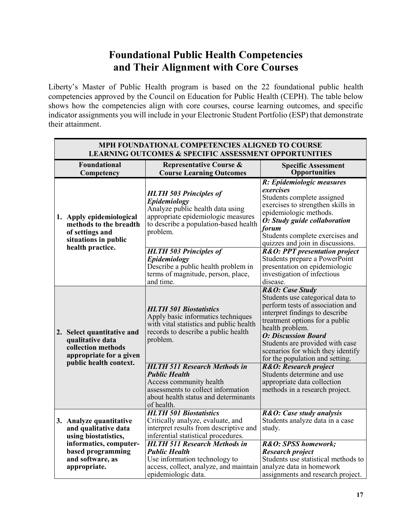# **Foundational Public Health Competencies and Their Alignment with Core Courses**

Liberty's Master of Public Health program is based on the 22 foundational public health competencies approved by the Council on Education for Public Health (CEPH). The table below shows how the competencies align with core courses, course learning outcomes, and specific indicator assignments you will include in your Electronic Student Portfolio (ESP) that demonstrate their attainment.

| MPH FOUNDATIONAL COMPETENCIES ALIGNED TO COURSE<br><b>LEARNING OUTCOMES &amp; SPECIFIC ASSESSMENT OPPORTUNITIES</b>       |                        |                                                                                                                                                                                    |                                                                                                                                                                                                                                                                                                                         |
|---------------------------------------------------------------------------------------------------------------------------|------------------------|------------------------------------------------------------------------------------------------------------------------------------------------------------------------------------|-------------------------------------------------------------------------------------------------------------------------------------------------------------------------------------------------------------------------------------------------------------------------------------------------------------------------|
| <b>Foundational</b><br>Competency                                                                                         |                        | <b>Representative Course &amp;</b><br><b>Course Learning Outcomes</b>                                                                                                              | <b>Specific Assessment</b><br><b>Opportunities</b>                                                                                                                                                                                                                                                                      |
| 1. Apply epidemiological<br>of settings and<br>situations in public                                                       | methods to the breadth | <b>HLTH 503 Principles of</b><br>Epidemiology<br>Analyze public health data using<br>appropriate epidemiologic measures<br>to describe a population-based health<br>problem.       | R: Epidemiologic measures<br>exercises<br>Students complete assigned<br>exercises to strengthen skills in<br>epidemiologic methods.<br>O: Study guide collaboration<br>forum<br>Students complete exercises and<br>quizzes and join in discussions.                                                                     |
| health practice.                                                                                                          |                        | <b>HLTH 503 Principles of</b><br>Epidemiology<br>Describe a public health problem in<br>terms of magnitude, person, place,<br>and time.                                            | <b>R&amp;O: PPT presentation project</b><br>Students prepare a PowerPoint<br>presentation on epidemiologic<br>investigation of infectious<br>disease.                                                                                                                                                                   |
| 2. Select quantitative and<br>qualitative data<br>collection methods<br>appropriate for a given<br>public health context. |                        | <b>HLTH 501 Biostatistics</b><br>Apply basic informatics techniques<br>with vital statistics and public health<br>records to describe a public health<br>problem.                  | R&O: Case Study<br>Students use categorical data to<br>perform tests of association and<br>interpret findings to describe<br>treatment options for a public<br>health problem.<br><b>O: Discussion Board</b><br>Students are provided with case<br>scenarios for which they identify<br>for the population and setting. |
|                                                                                                                           |                        | <b>HLTH 511 Research Methods in</b><br><b>Public Health</b><br>Access community health<br>assessments to collect information<br>about health status and determinants<br>of health. | R&O: Research project<br>Students determine and use<br>appropriate data collection<br>methods in a research project.                                                                                                                                                                                                    |
| 3. Analyze quantitative<br>and qualitative data<br>using biostatistics,                                                   |                        | <b>HLTH 501 Biostatistics</b><br>Critically analyze, evaluate, and<br>interpret results from descriptive and<br>inferential statistical procedures.                                | R&O: Case study analysis<br>Students analyze data in a case<br>study.                                                                                                                                                                                                                                                   |
| informatics, computer-<br>based programming<br>and software, as<br>appropriate.                                           |                        | <b>HLTH 511 Research Methods in</b><br><b>Public Health</b><br>Use information technology to<br>access, collect, analyze, and maintain<br>epidemiologic data.                      | R&O: SPSS homework;<br>Research project<br>Students use statistical methods to<br>analyze data in homework<br>assignments and research project.                                                                                                                                                                         |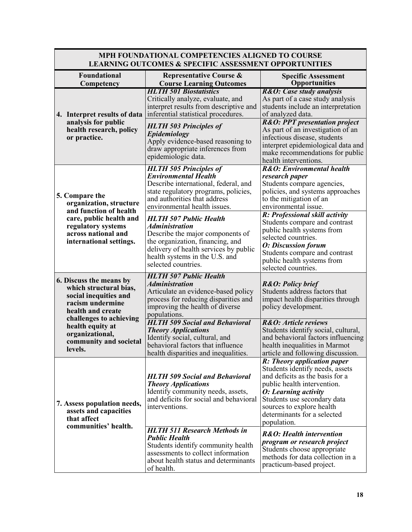| <b>LEARNING OUTCOMES &amp; SPECIFIC ASSESSMENT OPPORTUNITIES</b>                                                    |                                                                                                                                                                                                                                  |                                                                                                                                                                                                                                                                    |  |
|---------------------------------------------------------------------------------------------------------------------|----------------------------------------------------------------------------------------------------------------------------------------------------------------------------------------------------------------------------------|--------------------------------------------------------------------------------------------------------------------------------------------------------------------------------------------------------------------------------------------------------------------|--|
| <b>Foundational</b><br>Competency                                                                                   | <b>Representative Course &amp;</b><br><b>Course Learning Outcomes</b>                                                                                                                                                            | <b>Specific Assessment</b><br><b>Opportunities</b>                                                                                                                                                                                                                 |  |
| 4. Interpret results of data                                                                                        | <b>HLTH 501 Biostatistics</b><br>Critically analyze, evaluate, and<br>interpret results from descriptive and<br>inferential statistical procedures.                                                                              | R&O: Case study analysis<br>As part of a case study analysis<br>students include an interpretation<br>of analyzed data.                                                                                                                                            |  |
| analysis for public<br>health research, policy<br>or practice.                                                      | <b>HLTH 503 Principles of</b><br>Epidemiology<br>Apply evidence-based reasoning to<br>draw appropriate inferences from<br>epidemiologic data.                                                                                    | <b>R&amp;O: PPT presentation project</b><br>As part of an investigation of an<br>infectious disease, students<br>interpret epidemiological data and<br>make recommendations for public<br>health interventions.                                                    |  |
| 5. Compare the<br>organization, structure<br>and function of health                                                 | <b>HLTH 505 Principles of</b><br><b>Environmental Health</b><br>Describe international, federal, and<br>state regulatory programs, policies,<br>and authorities that address<br>environmental health issues.                     | <b>R&amp;O</b> : Environmental health<br>research paper<br>Students compare agencies,<br>policies, and systems approaches<br>to the mitigation of an<br>environmental issue.                                                                                       |  |
| care, public health and<br>regulatory systems<br>across national and<br>international settings.                     | <b>HLTH 507 Public Health</b><br><b>Administration</b><br>Describe the major components of<br>the organization, financing, and<br>delivery of health services by public<br>health systems in the U.S. and<br>selected countries. | R: Professional skill activity<br>Students compare and contrast<br>public health systems from<br>selected countries.<br><b>O:</b> Discussion forum<br>Students compare and contrast<br>public health systems from<br>selected countries.                           |  |
| 6. Discuss the means by<br>which structural bias,<br>social inequities and<br>racism undermine<br>health and create | <b>HLTH 507 Public Health</b><br><b>Administration</b><br>Articulate an evidence-based policy<br>process for reducing disparities and<br>improving the health of diverse<br>populations.                                         | <b>R&amp;O: Policy brief</b><br>Students address factors that<br>impact health disparities through<br>policy development.                                                                                                                                          |  |
| challenges to achieving<br>health equity at<br>organizational,<br>community and societal<br>levels.                 | <b>HLTH 509 Social and Behavioral</b><br><b>Theory Applications</b><br>Identify social, cultural, and<br>behavioral factors that influence<br>health disparities and inequalities.                                               | R&O: Article reviews<br>Students identify social, cultural,<br>and behavioral factors influencing<br>health inequalities in Marmot<br>article and following discussion.                                                                                            |  |
| 7. Assess population needs,<br>assets and capacities<br>that affect<br>communities' health.                         | <b>HLTH 509 Social and Behavioral</b><br><b>Theory Applications</b><br>Identify community needs, assets,<br>and deficits for social and behavioral<br>interventions.                                                             | R: Theory application paper<br>Students identify needs, assets<br>and deficits as the basis for a<br>public health intervention.<br>O: Learning activity<br>Students use secondary data<br>sources to explore health<br>determinants for a selected<br>population. |  |
|                                                                                                                     | <b>HLTH 511 Research Methods in</b><br><b>Public Health</b><br>Students identify community health<br>assessments to collect information<br>about health status and determinants<br>of health.                                    | <b>R&amp;O</b> : Health intervention<br>program or research project<br>Students choose appropriate<br>methods for data collection in a<br>practicum-based project.                                                                                                 |  |

# **MPH FOUNDATIONAL COMPETENCIES ALIGNED TO COURSE**

 $\mathbf{I}$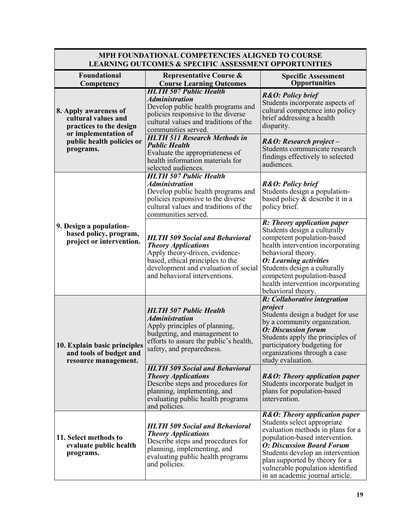#### **MPH FOUNDATIONAL COMPETENCIES ALIGNED TO COURSE LEARNING OUTCOMES & SPECIFIC ASSESSMENT OPPORTUNITIES**

| <b>Foundational</b><br>Competency                                                                                                         | <b>Representative Course &amp;</b><br><b>Course Learning Outcomes</b>                                                                                                                                              | <b>Specific Assessment</b><br><b>Opportunities</b>                                                                                                                                                                                                                                                                              |
|-------------------------------------------------------------------------------------------------------------------------------------------|--------------------------------------------------------------------------------------------------------------------------------------------------------------------------------------------------------------------|---------------------------------------------------------------------------------------------------------------------------------------------------------------------------------------------------------------------------------------------------------------------------------------------------------------------------------|
| 8. Apply awareness of<br>cultural values and<br>practices to the design<br>or implementation of<br>public health policies or<br>programs. | <b>HLTH 507 Public Health</b><br><b>Administration</b><br>Develop public health programs and<br>policies responsive to the diverse<br>cultural values and traditions of the<br>communities served.                 | <b>R&amp;O: Policy brief</b><br>Students incorporate aspects of<br>cultural competence into policy<br>brief addressing a health<br>disparity.                                                                                                                                                                                   |
|                                                                                                                                           | <b>HLTH 511 Research Methods in</b><br><b>Public Health</b><br>Evaluate the appropriateness of<br>health information materials for<br>selected audiences.                                                          | R&O: Research project-<br>Students communicate research<br>findings effectively to selected<br>audiences.                                                                                                                                                                                                                       |
|                                                                                                                                           | <b>HLTH 507 Public Health</b><br><b>Administration</b><br>Develop public health programs and<br>policies responsive to the diverse<br>cultural values and traditions of the<br>communities served.                 | <b>R&amp;O: Policy brief</b><br>Students design a population-<br>based policy & describe it in a<br>policy brief.                                                                                                                                                                                                               |
| 9. Design a population-<br>based policy, program,<br>project or intervention.                                                             | <b>HLTH 509 Social and Behavioral</b><br><b>Theory Applications</b><br>Apply theory-driven, evidence-<br>based, ethical principles to the<br>development and evaluation of social<br>and behavioral interventions. | R: Theory application paper<br>Students design a culturally<br>competent population-based<br>health intervention incorporating<br>behavioral theory.<br><b>O:</b> Learning activities<br>Students design a culturally<br>competent population-based<br>health intervention incorporating<br>behavioral theory.                  |
| 10. Explain basic principles<br>and tools of budget and<br>resource management.                                                           | <b>HLTH 507 Public Health</b><br><b>Administration</b><br>Apply principles of planning,<br>budgeting, and management to<br>efforts to assure the public's health,<br>safety, and preparedness.                     | R: Collaborative integration<br>project<br>Students design a budget for use<br>by a community organization.<br><b>O:</b> Discussion forum<br>Students apply the principles of<br>participatory budgeting for<br>organizations through a case<br>study evaluation.                                                               |
|                                                                                                                                           | <b>HLTH 509 Social and Behavioral</b><br><b>Theory Applications</b><br>Describe steps and procedures for<br>planning, implementing, and<br>evaluating public health programs<br>and policies.                      | <b>R&amp;O:</b> Theory application paper<br>Students incorporate budget in<br>plans for population-based<br>intervention.                                                                                                                                                                                                       |
| 11. Select methods to<br>evaluate public health<br>programs.                                                                              | <b>HLTH 509 Social and Behavioral</b><br><b>Theory Applications</b><br>Describe steps and procedures for<br>planning, implementing, and<br>evaluating public health programs<br>and policies.                      | <b>R&amp;O:</b> Theory application paper<br>Students select appropriate<br>evaluation methods in plans for a<br>population-based intervention.<br><b>O: Discussion Board Forum</b><br>Students develop an intervention<br>plan supported by theory for a<br>vulnerable population identified<br>in an academic journal article. |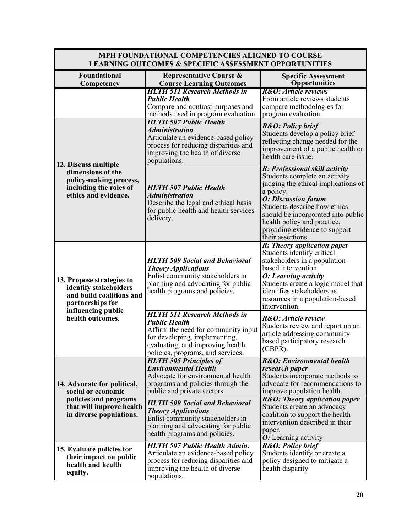| <b>LEARNING OUTCOMES &amp; SPECIFIC ASSESSMENT OPPORTUNITIES</b>                                                                             |                                                                                                                                                                                                              |                                                                                                                                                                                                                                                                                                              |
|----------------------------------------------------------------------------------------------------------------------------------------------|--------------------------------------------------------------------------------------------------------------------------------------------------------------------------------------------------------------|--------------------------------------------------------------------------------------------------------------------------------------------------------------------------------------------------------------------------------------------------------------------------------------------------------------|
| <b>Foundational</b><br>Competency                                                                                                            | <b>Representative Course &amp;</b><br><b>Course Learning Outcomes</b>                                                                                                                                        | <b>Specific Assessment</b><br><b>Opportunities</b>                                                                                                                                                                                                                                                           |
|                                                                                                                                              | <b>HLTH 511 Research Methods in</b><br><b>Public Health</b><br>Compare and contrast purposes and<br>methods used in program evaluation.                                                                      | R&O: Article reviews<br>From article reviews students<br>compare methodologies for<br>program evaluation.                                                                                                                                                                                                    |
| 12. Discuss multiple<br>dimensions of the<br>policy-making process,<br>including the roles of<br>ethics and evidence.                        | <b>HLTH 507 Public Health</b><br><b>Administration</b><br>Articulate an evidence-based policy<br>process for reducing disparities and<br>improving the health of diverse<br>populations.                     | <b>R&amp;O: Policy brief</b><br>Students develop a policy brief<br>reflecting change needed for the<br>improvement of a public health or<br>health care issue.                                                                                                                                               |
|                                                                                                                                              | <b>HLTH 507 Public Health</b><br><i><b>Administration</b></i><br>Describe the legal and ethical basis<br>for public health and health services<br>delivery.                                                  | R: Professional skill activity<br>Students complete an activity<br>judging the ethical implications of<br>a policy.<br><b>O: Discussion forum</b><br>Students describe how ethics<br>should be incorporated into public<br>health policy and practice,<br>providing evidence to support<br>their assertions. |
| 13. Propose strategies to<br>identify stakeholders<br>and build coalitions and<br>partnerships for<br>influencing public<br>health outcomes. | <b>HLTH 509 Social and Behavioral</b><br><b>Theory Applications</b><br>Enlist community stakeholders in<br>planning and advocating for public<br>health programs and policies.                               | R: Theory application paper<br>Students identify critical<br>stakeholders in a population-<br>based intervention.<br>O: Learning activity<br>Students create a logic model that<br>identifies stakeholders as<br>resources in a population-based<br>intervention.                                            |
|                                                                                                                                              | <b>HLTH 511 Research Methods in</b><br><b>Public Health</b><br>Affirm the need for community input<br>for developing, implementing,<br>evaluating, and improving health<br>policies, programs, and services. | R&O: Article review<br>Students review and report on an<br>article addressing community-<br>based participatory research<br>$(CBPR)$ .                                                                                                                                                                       |
| 14. Advocate for political,<br>social or economic                                                                                            | <b>HLTH 505 Principles of</b><br><b>Environmental Health</b><br>Advocate for environmental health<br>programs and policies through the<br>public and private sectors.                                        | <b>R&amp;O:</b> Environmental health<br>research paper<br>Students incorporate methods to<br>advocate for recommendations to<br>improve population health.                                                                                                                                                   |
| policies and programs<br>that will improve health<br>in diverse populations.                                                                 | <b>HLTH 509 Social and Behavioral</b><br><b>Theory Applications</b><br>Enlist community stakeholders in<br>planning and advocating for public<br>health programs and policies.                               | <b>R&amp;O:</b> Theory application paper<br>Students create an advocacy<br>coalition to support the health<br>intervention described in their<br>paper.<br>O: Learning activity                                                                                                                              |
| 15. Evaluate policies for<br>their impact on public<br>health and health<br>equity.                                                          | <b>HLTH 507 Public Health Admin.</b><br>Articulate an evidence-based policy<br>process for reducing disparities and<br>improving the health of diverse<br>populations.                                       | R&O: Policy brief<br>Students identify or create a<br>policy designed to mitigate a<br>health disparity.                                                                                                                                                                                                     |

# **MPH FOUNDATIONAL COMPETENCIES ALIGNED TO COURSE**

 $\mathbf{I}$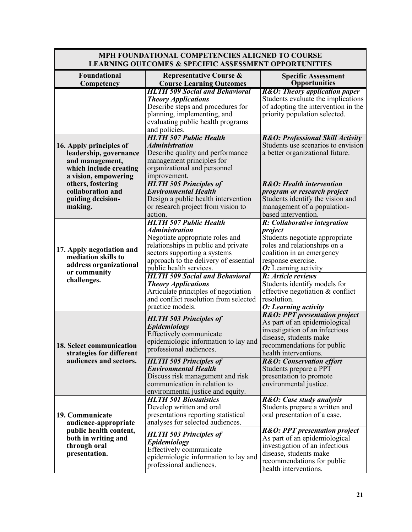| <b>LEARNING OUTCOMES &amp; SPECIFIC ASSESSMENT OPPORTUNITIES</b>                                                       |                                                                                                                                                                                                                                                                                                                    |                                                                                                                                                                                                                                            |
|------------------------------------------------------------------------------------------------------------------------|--------------------------------------------------------------------------------------------------------------------------------------------------------------------------------------------------------------------------------------------------------------------------------------------------------------------|--------------------------------------------------------------------------------------------------------------------------------------------------------------------------------------------------------------------------------------------|
| Foundational<br>Competency                                                                                             | <b>Representative Course &amp;</b><br><b>Course Learning Outcomes</b>                                                                                                                                                                                                                                              | <b>Specific Assessment</b><br><b>Opportunities</b>                                                                                                                                                                                         |
|                                                                                                                        | <b>HLTH 509 Social and Behavioral</b><br><b>Theory Applications</b><br>Describe steps and procedures for<br>planning, implementing, and<br>evaluating public health programs<br>and policies.                                                                                                                      | <b>R&amp;O:</b> Theory application paper<br>Students evaluate the implications<br>of adopting the intervention in the<br>priority population selected.                                                                                     |
| 16. Apply principles of<br>leadership, governance<br>and management,<br>which include creating<br>a vision, empowering | <b>HLTH 507 Public Health</b><br><b>Administration</b><br>Describe quality and performance<br>management principles for<br>organizational and personnel<br>improvement.                                                                                                                                            | <b>R&amp;O: Professional Skill Activity</b><br>Students use scenarios to envision<br>a better organizational future.                                                                                                                       |
| others, fostering<br>collaboration and<br>guiding decision-<br>making.                                                 | <b>HLTH 505 Principles of</b><br><b>Environmental Health</b><br>Design a public health intervention<br>or research project from vision to<br>action.                                                                                                                                                               | <b>R&amp;O</b> : Health intervention<br>program or research project<br>Students identify the vision and<br>management of a population-<br>based intervention.                                                                              |
| 17. Apply negotiation and<br>mediation skills to<br>address organizational<br>or community<br>challenges.              | <b>HLTH 507 Public Health</b><br><i><b>Administration</b></i><br>Negotiate appropriate roles and<br>relationships in public and private<br>sectors supporting a systems<br>approach to the delivery of essential<br>public health services.<br><b>HLTH 509 Social and Behavioral</b><br><b>Theory Applications</b> | R: Collaborative integration<br>project<br>Students negotiate appropriate<br>roles and relationships on a<br>coalition in an emergency<br>response exercise.<br>O: Learning activity<br>R: Article reviews<br>Students identify models for |
|                                                                                                                        | Articulate principles of negotiation<br>and conflict resolution from selected<br>practice models.                                                                                                                                                                                                                  | effective negotiation & conflict<br>resolution.<br>O: Learning activity                                                                                                                                                                    |
| 18. Select communication<br>strategies for different                                                                   | <b>HLTH 503 Principles of</b><br>Epidemiology<br>Effectively communicate<br>epidemiologic information to lay and<br>professional audiences.                                                                                                                                                                        | <b>R&amp;O: PPT presentation project</b><br>As part of an epidemiological<br>investigation of an infectious<br>disease, students make<br>recommendations for public<br>health interventions.                                               |
| audiences and sectors.                                                                                                 | <b>HLTH 505 Principles of</b><br><b>Environmental Health</b><br>Discuss risk management and risk<br>communication in relation to<br>environmental justice and equity.                                                                                                                                              | <b>R&amp;O:</b> Conservation effort<br>Students prepare a PPT<br>presentation to promote<br>environmental justice.                                                                                                                         |
| 19. Communicate<br>audience-appropriate                                                                                | <b>HLTH 501 Biostatistics</b><br>Develop written and oral<br>presentations reporting statistical<br>analyses for selected audiences.                                                                                                                                                                               | R&O: Case study analysis<br>Students prepare a written and<br>oral presentation of a case.                                                                                                                                                 |
| public health content,<br>both in writing and<br>through oral<br>presentation.                                         | <b>HLTH 503 Principles of</b><br><b>Epidemiology</b><br>Effectively communicate<br>epidemiologic information to lay and<br>professional audiences.                                                                                                                                                                 | <b>R&amp;O: PPT presentation project</b><br>As part of an epidemiological<br>investigation of an infectious<br>disease, students make<br>recommendations for public<br>health interventions.                                               |

# **MPH FOUNDATIONAL COMPETENCIES ALIGNED TO COURSE**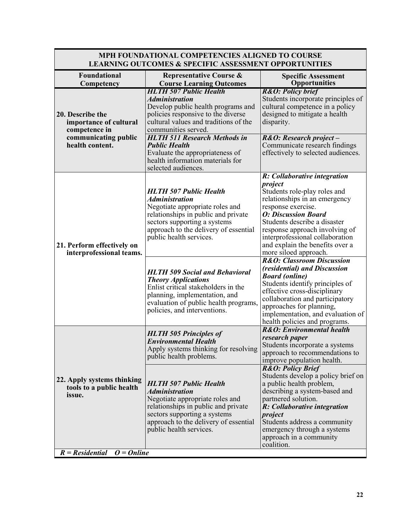### **MPH FOUNDATIONAL COMPETENCIES ALIGNED TO COURSE LEARNING OUTCOMES & SPECIFIC ASSESSMENT OPPORTUNITIES**

| <b>Foundational</b><br>Competency                                                                               | <b>Representative Course &amp;</b><br><b>Course Learning Outcomes</b>                                                                                                                                                                     | <b>Specific Assessment</b><br><b>Opportunities</b>                                                                                                                                                                                                                                                                            |
|-----------------------------------------------------------------------------------------------------------------|-------------------------------------------------------------------------------------------------------------------------------------------------------------------------------------------------------------------------------------------|-------------------------------------------------------------------------------------------------------------------------------------------------------------------------------------------------------------------------------------------------------------------------------------------------------------------------------|
| 20. Describe the<br>importance of cultural<br>competence in<br>communicating public                             | <b>HLTH 507 Public Health</b><br><b>Administration</b><br>Develop public health programs and<br>policies responsive to the diverse<br>cultural values and traditions of the<br>communities served.<br><b>HLTH 511 Research Methods in</b> | <b>R&amp;O: Policy brief</b><br>Students incorporate principles of<br>cultural competence in a policy<br>designed to mitigate a health<br>disparity.<br>R&O: Research project-                                                                                                                                                |
| health content.                                                                                                 | <b>Public Health</b><br>Evaluate the appropriateness of<br>health information materials for<br>selected audiences.                                                                                                                        | Communicate research findings<br>effectively to selected audiences.                                                                                                                                                                                                                                                           |
| 21. Perform effectively on<br>interprofessional teams.                                                          | <b>HLTH 507 Public Health</b><br><b>Administration</b><br>Negotiate appropriate roles and<br>relationships in public and private<br>sectors supporting a systems<br>approach to the delivery of essential<br>public health services.      | R: Collaborative integration<br>project<br>Students role-play roles and<br>relationships in an emergency<br>response exercise.<br><b>O: Discussion Board</b><br>Students describe a disaster<br>response approach involving of<br>interprofessional collaboration<br>and explain the benefits over a<br>more siloed approach. |
|                                                                                                                 | <b>HLTH 509 Social and Behavioral</b><br><b>Theory Applications</b><br>Enlist critical stakeholders in the<br>planning, implementation, and<br>evaluation of public health programs,<br>policies, and interventions.                      | <b>R&amp;O: Classroom Discussion</b><br>(residential) and Discussion<br><b>Board (online)</b><br>Students identify principles of<br>effective cross-disciplinary<br>collaboration and participatory<br>approaches for planning,<br>implementation, and evaluation of<br>health policies and programs.                         |
|                                                                                                                 | <b>HLTH 505 Principles of</b><br><b>Environmental Health</b><br>Apply systems thinking for resolving<br>public health problems.                                                                                                           | <b>R&amp;O:</b> Environmental health<br>research paper<br>Students incorporate a systems<br>approach to recommendations to<br>improve population health.                                                                                                                                                                      |
| 22. Apply systems thinking<br>tools to a public health<br>issue.<br>$R = Residental$<br>$\overline{O} =$ Online | <b>HLTH 507 Public Health</b><br><b>Administration</b><br>Negotiate appropriate roles and<br>relationships in public and private<br>sectors supporting a systems<br>approach to the delivery of essential<br>public health services.      | <b>R&amp;O: Policy Brief</b><br>Students develop a policy brief on<br>a public health problem,<br>describing a system-based and<br>partnered solution.<br>R: Collaborative integration<br>project<br>Students address a community<br>emergency through a systems<br>approach in a community<br>coalition.                     |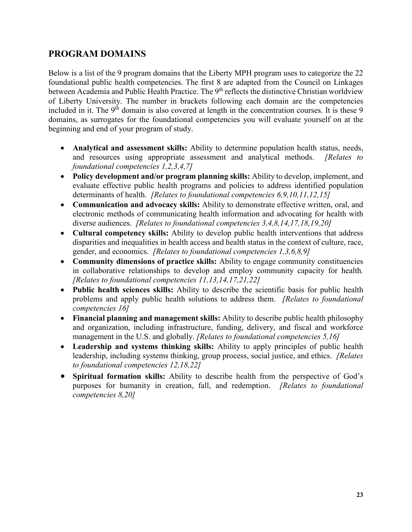### **PROGRAM DOMAINS**

Below is a list of the 9 program domains that the Liberty MPH program uses to categorize the 22 foundational public health competencies. The first 8 are adapted from the Council on Linkages between Academia and Public Health Practice. The 9<sup>th</sup> reflects the distinctive Christian worldview of Liberty University. The number in brackets following each domain are the competencies included in it. The 9<sup>th</sup> domain is also covered at length in the concentration courses. It is these 9 domains, as surrogates for the foundational competencies you will evaluate yourself on at the beginning and end of your program of study.

- **Analytical and assessment skills:** Ability to determine population health status, needs, and resources using appropriate assessment and analytical methods. *[Relates to foundational competencies 1,2,3,4,7]*
- **Policy development and/or program planning skills:** Ability to develop, implement, and evaluate effective public health programs and policies to address identified population determinants of health. *[Relates to foundational competencies 6,9,10,11,12,15]*
- **Communication and advocacy skills:** Ability to demonstrate effective written, oral, and electronic methods of communicating health information and advocating for health with diverse audiences. *[Relates to foundational competencies 3,4,8,14,17,18,19,20]*
- **Cultural competency skills:** Ability to develop public health interventions that address disparities and inequalities in health access and health status in the context of culture, race, gender, and economics. *[Relates to foundational competencies 1,3,6,8,9]*
- **Community dimensions of practice skills:** Ability to engage community constituencies in collaborative relationships to develop and employ community capacity for health*. [Relates to foundational competencies 11,13,14,17,21,22]*
- **Public health sciences skills:** Ability to describe the scientific basis for public health problems and apply public health solutions to address them. *[Relates to foundational competencies 16]*
- **Financial planning and management skills:** Ability to describe public health philosophy and organization, including infrastructure, funding, delivery, and fiscal and workforce management in the U.S. and globally. *[Relates to foundational competencies 5,16]*
- **Leadership and systems thinking skills:** Ability to apply principles of public health leadership, including systems thinking, group process, social justice, and ethics. *[Relates to foundational competencies 12,18,22]*
- **Spiritual formation skills:** Ability to describe health from the perspective of God's purposes for humanity in creation, fall, and redemption. *[Relates to foundational competencies 8,20]*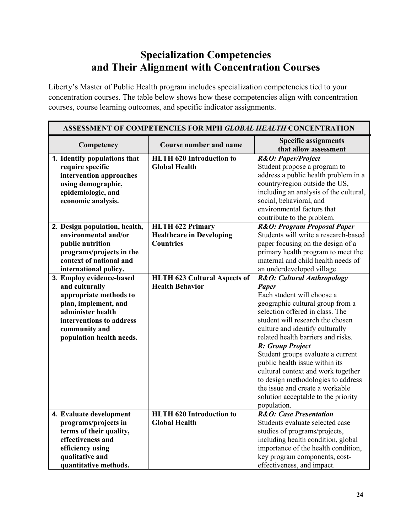# **Specialization Competencies and Their Alignment with Concentration Courses**

Liberty's Master of Public Health program includes specialization competencies tied to your concentration courses. The table below shows how these competencies align with concentration courses, course learning outcomes, and specific indicator assignments.

| ASSESSMENT OF COMPETENCIES FOR MPH GLOBAL HEALTH CONCENTRATION |                                     |                                                                     |
|----------------------------------------------------------------|-------------------------------------|---------------------------------------------------------------------|
| Competency                                                     | <b>Course number and name</b>       | <b>Specific assignments</b><br>that allow assessment                |
| 1. Identify populations that                                   | <b>HLTH 620 Introduction to</b>     | R&O: Paper/Project                                                  |
| require specific                                               | <b>Global Health</b>                | Student propose a program to                                        |
| intervention approaches                                        |                                     | address a public health problem in a                                |
| using demographic,                                             |                                     | country/region outside the US,                                      |
| epidemiologic, and                                             |                                     | including an analysis of the cultural,                              |
| economic analysis.                                             |                                     | social, behavioral, and                                             |
|                                                                |                                     | environmental factors that                                          |
|                                                                |                                     | contribute to the problem.                                          |
| 2. Design population, health,                                  | <b>HLTH 622 Primary</b>             | R&O: Program Proposal Paper                                         |
| environmental and/or                                           | <b>Healthcare in Developing</b>     | Students will write a research-based                                |
| public nutrition                                               | <b>Countries</b>                    | paper focusing on the design of a                                   |
| programs/projects in the                                       |                                     | primary health program to meet the                                  |
| context of national and                                        |                                     | maternal and child health needs of                                  |
| international policy.                                          |                                     | an underdeveloped village.                                          |
| 3. Employ evidence-based                                       | <b>HLTH 623 Cultural Aspects of</b> | R&O: Cultural Anthropology                                          |
| and culturally                                                 | <b>Health Behavior</b>              | <b>Paper</b>                                                        |
| appropriate methods to                                         |                                     | Each student will choose a                                          |
| plan, implement, and<br>administer health                      |                                     | geographic cultural group from a<br>selection offered in class. The |
|                                                                |                                     | student will research the chosen                                    |
| interventions to address                                       |                                     | culture and identify culturally                                     |
| community and<br>population health needs.                      |                                     | related health barriers and risks.                                  |
|                                                                |                                     | R: Group Project                                                    |
|                                                                |                                     | Student groups evaluate a current                                   |
|                                                                |                                     | public health issue within its                                      |
|                                                                |                                     | cultural context and work together                                  |
|                                                                |                                     | to design methodologies to address                                  |
|                                                                |                                     | the issue and create a workable                                     |
|                                                                |                                     | solution acceptable to the priority                                 |
|                                                                |                                     | population.                                                         |
| 4. Evaluate development                                        | <b>HLTH 620 Introduction to</b>     | <b>R&amp;O:</b> Case Presentation                                   |
| programs/projects in                                           | <b>Global Health</b>                | Students evaluate selected case                                     |
| terms of their quality,                                        |                                     | studies of programs/projects,                                       |
| effectiveness and                                              |                                     | including health condition, global                                  |
| efficiency using                                               |                                     | importance of the health condition,                                 |
| qualitative and                                                |                                     | key program components, cost-                                       |
| quantitative methods.                                          |                                     | effectiveness, and impact.                                          |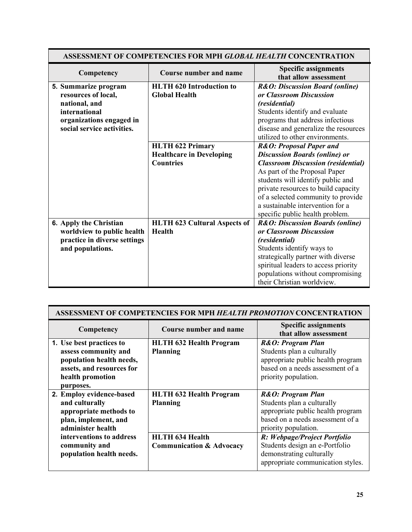| <b>ASSESSMENT OF COMPETENCIES FOR MPH GLOBAL HEALTH CONCENTRATION</b> |                                     |                                                      |
|-----------------------------------------------------------------------|-------------------------------------|------------------------------------------------------|
| Competency                                                            | <b>Course number and name</b>       | <b>Specific assignments</b><br>that allow assessment |
| 5. Summarize program                                                  | <b>HLTH 620 Introduction to</b>     | <b>R&amp;O: Discussion Board (online)</b>            |
| resources of local,                                                   | <b>Global Health</b>                | or Classroom Discussion                              |
| national, and                                                         |                                     | <i>(residential)</i>                                 |
| international                                                         |                                     | Students identify and evaluate                       |
| organizations engaged in                                              |                                     | programs that address infectious                     |
| social service activities.                                            |                                     | disease and generalize the resources                 |
|                                                                       |                                     | utilized to other environments.                      |
|                                                                       | <b>HLTH 622 Primary</b>             | <b>R&amp;O: Proposal Paper and</b>                   |
|                                                                       | <b>Healthcare in Developing</b>     | <b>Discussion Boards (online) or</b>                 |
|                                                                       | <b>Countries</b>                    | <b>Classroom Discussion (residential)</b>            |
|                                                                       |                                     | As part of the Proposal Paper                        |
|                                                                       |                                     | students will identify public and                    |
|                                                                       |                                     | private resources to build capacity                  |
|                                                                       |                                     | of a selected community to provide                   |
|                                                                       |                                     | a sustainable intervention for a                     |
|                                                                       |                                     | specific public health problem.                      |
| 6. Apply the Christian                                                | <b>HLTH 623 Cultural Aspects of</b> | <b>R&amp;O: Discussion Boards (online)</b>           |
| worldview to public health                                            | <b>Health</b>                       | or Classroom Discussion                              |
| practice in diverse settings                                          |                                     | <i>(residential)</i>                                 |
| and populations.                                                      |                                     | Students identify ways to                            |
|                                                                       |                                     | strategically partner with diverse                   |
|                                                                       |                                     | spiritual leaders to access priority                 |
|                                                                       |                                     | populations without compromising                     |
|                                                                       |                                     | their Christian worldview.                           |

| ASSESSMENT OF COMPETENCIES FOR MPH HEALTH PROMOTION CONCENTRATION                                                                          |                                                               |                                                                                                                                                  |
|--------------------------------------------------------------------------------------------------------------------------------------------|---------------------------------------------------------------|--------------------------------------------------------------------------------------------------------------------------------------------------|
| Competency                                                                                                                                 | <b>Course number and name</b>                                 | <b>Specific assignments</b><br>that allow assessment                                                                                             |
| 1. Use best practices to<br>assess community and<br>population health needs,<br>assets, and resources for<br>health promotion<br>purposes. | <b>HLTH 632 Health Program</b><br><b>Planning</b>             | R&O: Program Plan<br>Students plan a culturally<br>appropriate public health program<br>based on a needs assessment of a<br>priority population. |
| 2. Employ evidence-based<br>and culturally<br>appropriate methods to<br>plan, implement, and<br>administer health                          | <b>HLTH 632 Health Program</b><br><b>Planning</b>             | R&O: Program Plan<br>Students plan a culturally<br>appropriate public health program<br>based on a needs assessment of a<br>priority population. |
| interventions to address<br>community and<br>population health needs.                                                                      | <b>HLTH 634 Health</b><br><b>Communication &amp; Advocacy</b> | R: Webpage/Project Portfolio<br>Students design an e-Portfolio<br>demonstrating culturally<br>appropriate communication styles.                  |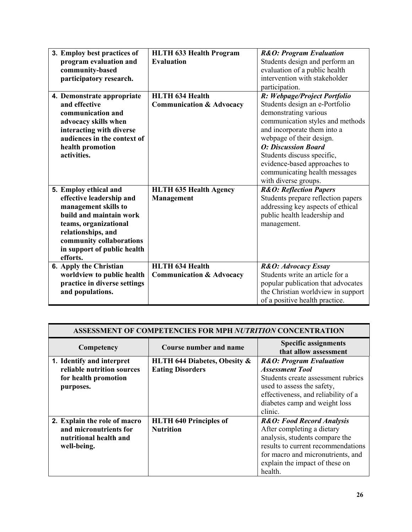| 3. Employ best practices of  | <b>HLTH 633 Health Program</b>      | <b>R&amp;O: Program Evaluation</b> |
|------------------------------|-------------------------------------|------------------------------------|
| program evaluation and       | Evaluation                          | Students design and perform an     |
| community-based              |                                     | evaluation of a public health      |
| participatory research.      |                                     | intervention with stakeholder      |
|                              |                                     | participation.                     |
| 4. Demonstrate appropriate   | <b>HLTH 634 Health</b>              | R: Webpage/Project Portfolio       |
| and effective                | <b>Communication &amp; Advocacy</b> | Students design an e-Portfolio     |
| communication and            |                                     | demonstrating various              |
| advocacy skills when         |                                     | communication styles and methods   |
| interacting with diverse     |                                     | and incorporate them into a        |
| audiences in the context of  |                                     | webpage of their design.           |
| health promotion             |                                     | <b>O: Discussion Board</b>         |
| activities.                  |                                     | Students discuss specific,         |
|                              |                                     | evidence-based approaches to       |
|                              |                                     | communicating health messages      |
|                              |                                     | with diverse groups.               |
| 5. Employ ethical and        | <b>HLTH 635 Health Agency</b>       | <b>R&amp;O: Reflection Papers</b>  |
| effective leadership and     | Management                          | Students prepare reflection papers |
| management skills to         |                                     | addressing key aspects of ethical  |
| build and maintain work      |                                     | public health leadership and       |
| teams, organizational        |                                     | management.                        |
| relationships, and           |                                     |                                    |
| community collaborations     |                                     |                                    |
| in support of public health  |                                     |                                    |
| efforts.                     |                                     |                                    |
| 6. Apply the Christian       | <b>HLTH 634 Health</b>              | R&O: Advocacy Essay                |
| worldview to public health   | <b>Communication &amp; Advocacy</b> | Students write an article for a    |
| practice in diverse settings |                                     | popular publication that advocates |
| and populations.             |                                     | the Christian worldview in support |
|                              |                                     | of a positive health practice.     |

| <b>ASSESSMENT OF COMPETENCIES FOR MPH NUTRITION CONCENTRATION</b>                               |                                                                    |                                                                                                                                                                                                                              |
|-------------------------------------------------------------------------------------------------|--------------------------------------------------------------------|------------------------------------------------------------------------------------------------------------------------------------------------------------------------------------------------------------------------------|
| Competency                                                                                      | Course number and name                                             | <b>Specific assignments</b><br>that allow assessment                                                                                                                                                                         |
| 1. Identify and interpret<br>reliable nutrition sources<br>for health promotion<br>purposes.    | <b>HLTH 644 Diabetes, Obesity &amp;</b><br><b>Eating Disorders</b> | <b>R&amp;O: Program Evaluation</b><br><b>Assessment Tool</b><br>Students create assessment rubrics<br>used to assess the safety,<br>effectiveness, and reliability of a<br>diabetes camp and weight loss<br>clinic.          |
| 2. Explain the role of macro<br>and micronutrients for<br>nutritional health and<br>well-being. | <b>HLTH</b> 640 Principles of<br><b>Nutrition</b>                  | <b>R&amp;O: Food Record Analysis</b><br>After completing a dietary<br>analysis, students compare the<br>results to current recommendations<br>for macro and micronutrients, and<br>explain the impact of these on<br>health. |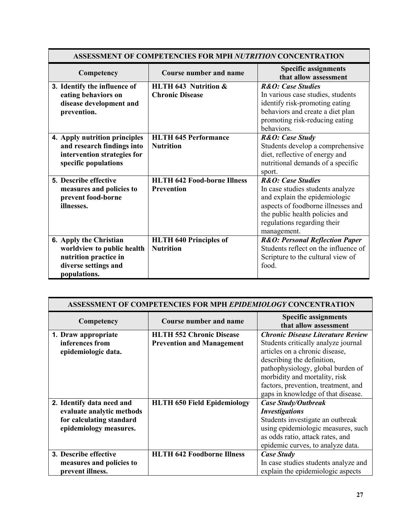| <b>ASSESSMENT OF COMPETENCIES FOR MPH NUTRITION CONCENTRATION</b>                                                     |                                                   |                                                                                                                                                                                                                         |
|-----------------------------------------------------------------------------------------------------------------------|---------------------------------------------------|-------------------------------------------------------------------------------------------------------------------------------------------------------------------------------------------------------------------------|
| Competency                                                                                                            | <b>Course number and name</b>                     | <b>Specific assignments</b><br>that allow assessment                                                                                                                                                                    |
| 3. Identify the influence of<br>eating behaviors on<br>disease development and<br>prevention.                         | HLTH 643 Nutrition &<br><b>Chronic Disease</b>    | <b>R&amp;O:</b> Case Studies<br>In various case studies, students<br>identify risk-promoting eating<br>behaviors and create a diet plan<br>promoting risk-reducing eating<br>behaviors.                                 |
| 4. Apply nutrition principles<br>and research findings into<br>intervention strategies for<br>specific populations    | <b>HLTH 645 Performance</b><br><b>Nutrition</b>   | R&O: Case Study<br>Students develop a comprehensive<br>diet, reflective of energy and<br>nutritional demands of a specific<br>sport.                                                                                    |
| 5. Describe effective<br>measures and policies to<br>prevent food-borne<br>illnesses.                                 | <b>HLTH 642 Food-borne Illness</b><br>Prevention  | <b>R&amp;O:</b> Case Studies<br>In case studies students analyze<br>and explain the epidemiologic<br>aspects of foodborne illnesses and<br>the public health policies and<br>regulations regarding their<br>management. |
| 6. Apply the Christian<br>worldview to public health<br>nutrition practice in<br>diverse settings and<br>populations. | <b>HLTH 640 Principles of</b><br><b>Nutrition</b> | <b>R&amp;O: Personal Reflection Paper</b><br>Students reflect on the influence of<br>Scripture to the cultural view of<br>food.                                                                                         |

| <b>ASSESSMENT OF COMPETENCIES FOR MPH EPIDEMIOLOGY CONCENTRATION</b> |                                    |                                                      |
|----------------------------------------------------------------------|------------------------------------|------------------------------------------------------|
| Competency                                                           | <b>Course number and name</b>      | <b>Specific assignments</b><br>that allow assessment |
| 1. Draw appropriate                                                  | <b>HLTH 552 Chronic Disease</b>    | <b>Chronic Disease Literature Review</b>             |
| inferences from                                                      | <b>Prevention and Management</b>   | Students critically analyze journal                  |
| epidemiologic data.                                                  |                                    | articles on a chronic disease,                       |
|                                                                      |                                    | describing the definition,                           |
|                                                                      |                                    | pathophysiology, global burden of                    |
|                                                                      |                                    | morbidity and mortality, risk                        |
|                                                                      |                                    | factors, prevention, treatment, and                  |
|                                                                      |                                    | gaps in knowledge of that disease.                   |
| 2. Identify data need and                                            | <b>HLTH 650 Field Epidemiology</b> | <b>Case Study/Outbreak</b>                           |
| evaluate analytic methods                                            |                                    | <b>Investigations</b>                                |
| for calculating standard                                             |                                    | Students investigate an outbreak                     |
| epidemiology measures.                                               |                                    | using epidemiologic measures, such                   |
|                                                                      |                                    | as odds ratio, attack rates, and                     |
|                                                                      |                                    | epidemic curves, to analyze data.                    |
| 3. Describe effective                                                | <b>HLTH 642 Foodborne Illness</b>  | <b>Case Study</b>                                    |
| measures and policies to                                             |                                    | In case studies students analyze and                 |
| prevent illness.                                                     |                                    | explain the epidemiologic aspects                    |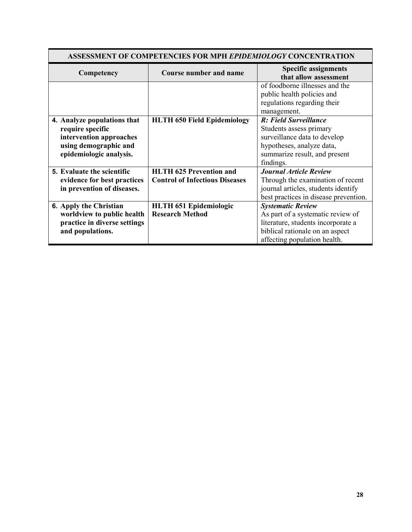| <b>ASSESSMENT OF COMPETENCIES FOR MPH EPIDEMIOLOGY CONCENTRATION</b>                                                           |                                                                         |                                                                                                                                                                        |
|--------------------------------------------------------------------------------------------------------------------------------|-------------------------------------------------------------------------|------------------------------------------------------------------------------------------------------------------------------------------------------------------------|
| Competency                                                                                                                     | <b>Course number and name</b>                                           | <b>Specific assignments</b><br>that allow assessment                                                                                                                   |
|                                                                                                                                |                                                                         | of foodborne illnesses and the<br>public health policies and<br>regulations regarding their<br>management.                                                             |
| 4. Analyze populations that<br>require specific<br>intervention approaches<br>using demographic and<br>epidemiologic analysis. | <b>HLTH 650 Field Epidemiology</b>                                      | R: Field Surveillance<br>Students assess primary<br>surveillance data to develop<br>hypotheses, analyze data,<br>summarize result, and present<br>findings.            |
| 5. Evaluate the scientific<br>evidence for best practices<br>in prevention of diseases.                                        | <b>HLTH 625 Prevention and</b><br><b>Control of Infectious Diseases</b> | <b>Journal Article Review</b><br>Through the examination of recent<br>journal articles, students identify<br>best practices in disease prevention.                     |
| <b>6. Apply the Christian</b><br>worldview to public health<br>practice in diverse settings<br>and populations.                | <b>HLTH 651 Epidemiologic</b><br><b>Research Method</b>                 | <b>Systematic Review</b><br>As part of a systematic review of<br>literature, students incorporate a<br>biblical rationale on an aspect<br>affecting population health. |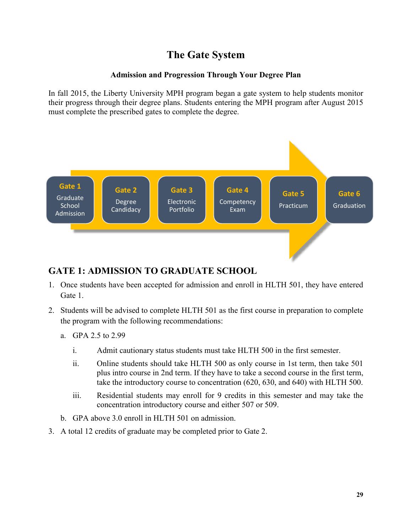# **The Gate System**

### **Admission and Progression Through Your Degree Plan**

In fall 2015, the Liberty University MPH program began a gate system to help students monitor their progress through their degree plans. Students entering the MPH program after August 2015 must complete the prescribed gates to complete the degree.



### **GATE 1: ADMISSION TO GRADUATE SCHOOL**

- 1. Once students have been accepted for admission and enroll in HLTH 501, they have entered Gate 1.
- 2. Students will be advised to complete HLTH 501 as the first course in preparation to complete the program with the following recommendations:
	- a. GPA 2.5 to 2.99
		- i. Admit cautionary status students must take HLTH 500 in the first semester.
		- ii. Online students should take HLTH 500 as only course in 1st term, then take 501 plus intro course in 2nd term. If they have to take a second course in the first term, take the introductory course to concentration (620, 630, and 640) with HLTH 500.
		- iii. Residential students may enroll for 9 credits in this semester and may take the concentration introductory course and either 507 or 509.
	- b. GPA above 3.0 enroll in HLTH 501 on admission.
- 3. A total 12 credits of graduate may be completed prior to Gate 2.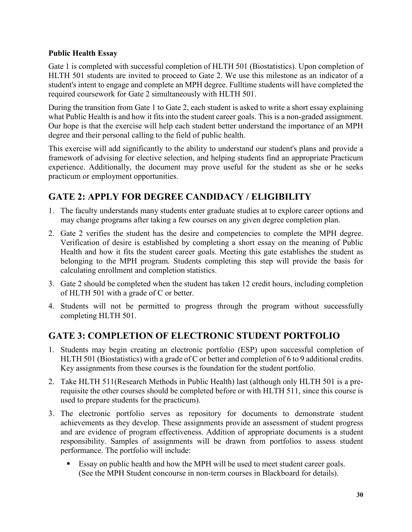### **Public Health Essay**

Gate 1 is completed with successful completion of HLTH 501 (Biostatistics). Upon completion of HLTH 501 students are invited to proceed to Gate 2. We use this milestone as an indicator of a student's intent to engage and complete an MPH degree. Fulltime students will have completed the required coursework for Gate 2 simultaneously with HLTH 501.

During the transition from Gate 1 to Gate 2, each student is asked to write a short essay explaining what Public Health is and how it fits into the student career goals. This is a non-graded assignment. Our hope is that the exercise will help each student better understand the importance of an MPH degree and their personal calling to the field of public health.

This exercise will add significantly to the ability to understand our student's plans and provide a framework of advising for elective selection, and helping students find an appropriate Practicum experience. Additionally, the document may prove useful for the student as she or he seeks practicum or employment opportunities.

# **GATE 2: APPLY FOR DEGREE CANDIDACY / ELIGIBILITY**

- 1. The faculty understands many students enter graduate studies at to explore career options and may change programs after taking a few courses on any given degree completion plan.
- 2. Gate 2 verifies the student has the desire and competencies to complete the MPH degree. Verification of desire is established by completing a short essay on the meaning of Public Health and how it fits the student career goals. Meeting this gate establishes the student as belonging to the MPH program. Students completing this step will provide the basis for calculating enrollment and completion statistics.
- 3. Gate 2 should be completed when the student has taken 12 credit hours, including completion of HLTH 501 with a grade of C or better.
- 4. Students will not be permitted to progress through the program without successfully completing HLTH 501.

### **GATE 3: COMPLETION OF ELECTRONIC STUDENT PORTFOLIO**

- 1. Students may begin creating an electronic portfolio (ESP) upon successful completion of HLTH 501 (Biostatistics) with a grade of C or better and completion of 6 to 9 additional credits. Key assignments from these courses is the foundation for the student portfolio.
- 2. Take HLTH 511(Research Methods in Public Health) last (although only HLTH 501 is a prerequisite the other courses should be completed before or with HLTH 511, since this course is used to prepare students for the practicum).
- 3. The electronic portfolio serves as repository for documents to demonstrate student achievements as they develop. These assignments provide an assessment of student progress and are evidence of program effectiveness. Addition of appropriate documents is a student responsibility. Samples of assignments will be drawn from portfolios to assess student performance. The portfolio will include:
	- Essay on public health and how the MPH will be used to meet student career goals. (See the MPH Student concourse in non-term courses in Blackboard for details).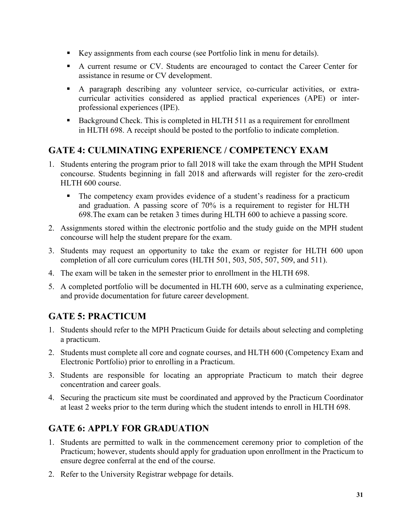- Key assignments from each course (see Portfolio link in menu for details).
- A current resume or CV. Students are encouraged to contact the Career Center for assistance in resume or CV development.
- A paragraph describing any volunteer service, co-curricular activities, or extracurricular activities considered as applied practical experiences (APE) or interprofessional experiences (IPE).
- Background Check. This is completed in HLTH 511 as a requirement for enrollment in HLTH 698. A receipt should be posted to the portfolio to indicate completion.

## **GATE 4: CULMINATING EXPERIENCE / COMPETENCY EXAM**

- 1. Students entering the program prior to fall 2018 will take the exam through the MPH Student concourse. Students beginning in fall 2018 and afterwards will register for the zero-credit HLTH 600 course.
	- The competency exam provides evidence of a student's readiness for a practicum and graduation. A passing score of 70% is a requirement to register for HLTH 698.The exam can be retaken 3 times during HLTH 600 to achieve a passing score.
- 2. Assignments stored within the electronic portfolio and the study guide on the MPH student concourse will help the student prepare for the exam.
- 3. Students may request an opportunity to take the exam or register for HLTH 600 upon completion of all core curriculum cores (HLTH 501, 503, 505, 507, 509, and 511).
- 4. The exam will be taken in the semester prior to enrollment in the HLTH 698.
- 5. A completed portfolio will be documented in HLTH 600, serve as a culminating experience, and provide documentation for future career development.

### **GATE 5: PRACTICUM**

- 1. Students should refer to the MPH Practicum Guide for details about selecting and completing a practicum.
- 2. Students must complete all core and cognate courses, and HLTH 600 (Competency Exam and Electronic Portfolio) prior to enrolling in a Practicum.
- 3. Students are responsible for locating an appropriate Practicum to match their degree concentration and career goals.
- 4. Securing the practicum site must be coordinated and approved by the Practicum Coordinator at least 2 weeks prior to the term during which the student intends to enroll in HLTH 698.

### **GATE 6: APPLY FOR GRADUATION**

- 1. Students are permitted to walk in the commencement ceremony prior to completion of the Practicum; however, students should apply for graduation upon enrollment in the Practicum to ensure degree conferral at the end of the course.
- 2. Refer to the University Registrar webpage for details.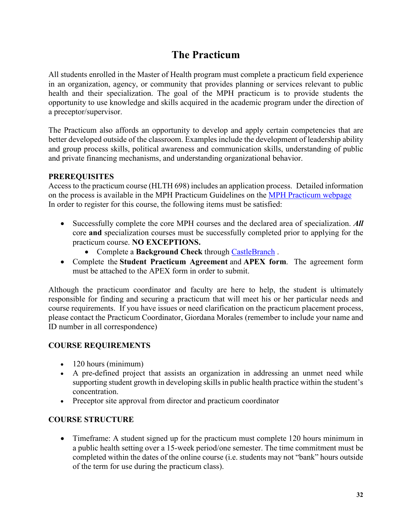# **The Practicum**

All students enrolled in the Master of Health program must complete a practicum field experience in an organization, agency, or community that provides planning or services relevant to public health and their specialization. The goal of the MPH practicum is to provide students the opportunity to use knowledge and skills acquired in the academic program under the direction of a preceptor/supervisor.

The Practicum also affords an opportunity to develop and apply certain competencies that are better developed outside of the classroom. Examples include the development of leadership ability and group process skills, political awareness and communication skills, understanding of public and private financing mechanisms, and understanding organizational behavior.

### **PREREQUISITES**

Access to the practicum course (HLTH 698) includes an application process. Detailed information on the process is available in the MPH Practicum Guidelines on the MPH Practicum webpage In order to register for this course, the following items must be satisfied:

- Successfully complete the core MPH courses and the declared area of specialization. *All* core **and** specialization courses must be successfully completed prior to applying for the practicum course. **NO EXCEPTIONS.**
	- Complete a **Background Check** through CastleBranch .
- Complete the **Student Practicum Agreement** and **APEX form**. The agreement form must be attached to the APEX form in order to submit.

Although the practicum coordinator and faculty are here to help, the student is ultimately responsible for finding and securing a practicum that will meet his or her particular needs and course requirements. If you have issues or need clarification on the practicum placement process, please contact the Practicum Coordinator, Giordana Morales (remember to include your name and ID number in all correspondence)

### **COURSE REQUIREMENTS**

- 120 hours (minimum)
- A pre-defined project that assists an organization in addressing an unmet need while supporting student growth in developing skills in public health practice within the student's concentration.
- Preceptor site approval from director and practicum coordinator

### **COURSE STRUCTURE**

• Timeframe: A student signed up for the practicum must complete 120 hours minimum in a public health setting over a 15-week period/one semester. The time commitment must be completed within the dates of the online course (i.e. students may not "bank" hours outside of the term for use during the practicum class).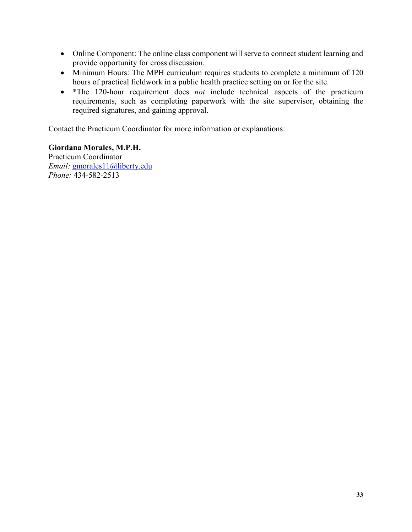- Online Component: The online class component will serve to connect student learning and provide opportunity for cross discussion.
- Minimum Hours: The MPH curriculum requires students to complete a minimum of 120 hours of practical fieldwork in a public health practice setting on or for the site.
- \*The 120-hour requirement does *not* include technical aspects of the practicum requirements, such as completing paperwork with the site supervisor, obtaining the required signatures, and gaining approval.

Contact the Practicum Coordinator for more information or explanations:

**Giordana Morales, M.P.H.** Practicum Coordinator *Email:* gmorales11@liberty.edu *Phone:* 434-582-2513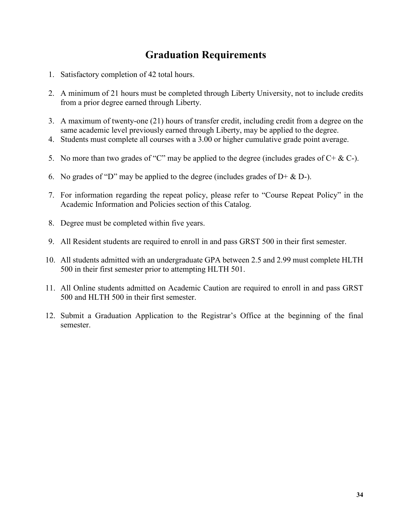# **Graduation Requirements**

- 1. Satisfactory completion of 42 total hours.
- 2. A minimum of 21 hours must be completed through Liberty University, not to include credits from a prior degree earned through Liberty.
- 3. A maximum of twenty-one (21) hours of transfer credit, including credit from a degree on the same academic level previously earned through Liberty, may be applied to the degree.
- 4. Students must complete all courses with a 3.00 or higher cumulative grade point average.
- 5. No more than two grades of "C" may be applied to the degree (includes grades of  $C + \& C$ ).
- 6. No grades of "D" may be applied to the degree (includes grades of  $D + \& D$ ).
- 7. For information regarding the repeat policy, please refer to "Course Repeat Policy" in the Academic Information and Policies section of this Catalog.
- 8. Degree must be completed within five years.
- 9. All Resident students are required to enroll in and pass GRST 500 in their first semester.
- 10. All students admitted with an undergraduate GPA between 2.5 and 2.99 must complete HLTH 500 in their first semester prior to attempting HLTH 501.
- 11. All Online students admitted on Academic Caution are required to enroll in and pass GRST 500 and HLTH 500 in their first semester.
- 12. Submit a Graduation Application to the Registrar's Office at the beginning of the final semester.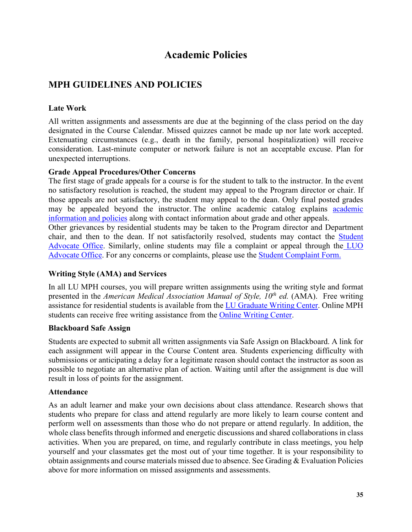# **Academic Policies**

### **MPH GUIDELINES AND POLICIES**

### **Late Work**

All written assignments and assessments are due at the beginning of the class period on the day designated in the Course Calendar. Missed quizzes cannot be made up nor late work accepted. Extenuating circumstances (e.g., death in the family, personal hospitalization) will receive consideration. Last-minute computer or network failure is not an acceptable excuse. Plan for unexpected interruptions.

### **Grade Appeal Procedures/Other Concerns**

The first stage of grade appeals for a course is for the student to talk to the instructor. In the event no satisfactory resolution is reached, the student may appeal to the Program director or chair. If those appeals are not satisfactory, the student may appeal to the dean. Only final posted grades may be appealed beyond the instructor. The online academic catalog explains academic information and policies along with contact information about grade and other appeals.

Other grievances by residential students may be taken to the Program director and Department chair, and then to the dean. If not satisfactorily resolved, students may contact the Student Advocate Office. Similarly, online students may file a complaint or appeal through the LUO Advocate Office. For any concerns or complaints, please use the Student Complaint Form.

### **Writing Style (AMA) and Services**

In all LU MPH courses, you will prepare written assignments using the writing style and format presented in the *American Medical Association Manual of Style, 10<sup>th</sup> ed.* (AMA). Free writing assistance for residential students is available from the LU Graduate Writing Center. Online MPH students can receive free writing assistance from the Online Writing Center.

### **Blackboard Safe Assign**

Students are expected to submit all written assignments via Safe Assign on Blackboard. A link for each assignment will appear in the Course Content area. Students experiencing difficulty with submissions or anticipating a delay for a legitimate reason should contact the instructor as soon as possible to negotiate an alternative plan of action. Waiting until after the assignment is due will result in loss of points for the assignment.

#### **Attendance**

As an adult learner and make your own decisions about class attendance. Research shows that students who prepare for class and attend regularly are more likely to learn course content and perform well on assessments than those who do not prepare or attend regularly. In addition, the whole class benefits through informed and energetic discussions and shared collaborations in class activities. When you are prepared, on time, and regularly contribute in class meetings, you help yourself and your classmates get the most out of your time together. It is your responsibility to obtain assignments and course materials missed due to absence. See Grading & Evaluation Policies above for more information on missed assignments and assessments.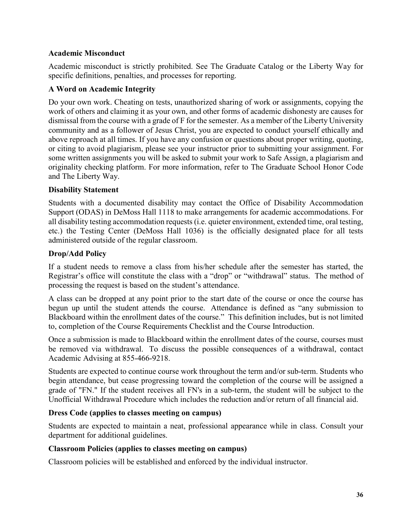### **Academic Misconduct**

Academic misconduct is strictly prohibited. See The Graduate Catalog or the Liberty Way for specific definitions, penalties, and processes for reporting.

### **A Word on Academic Integrity**

Do your own work. Cheating on tests, unauthorized sharing of work or assignments, copying the work of others and claiming it as your own, and other forms of academic dishonesty are causes for dismissal from the course with a grade of F for the semester. As a member of the Liberty University community and as a follower of Jesus Christ, you are expected to conduct yourself ethically and above reproach at all times. If you have any confusion or questions about proper writing, quoting, or citing to avoid plagiarism, please see your instructor prior to submitting your assignment. For some written assignments you will be asked to submit your work to Safe Assign, a plagiarism and originality checking platform. For more information, refer to The Graduate School Honor Code and The Liberty Way.

### **Disability Statement**

Students with a documented disability may contact the Office of Disability Accommodation Support (ODAS) in DeMoss Hall 1118 to make arrangements for academic accommodations. For all disability testing accommodation requests (i.e. quieter environment, extended time, oral testing, etc.) the Testing Center (DeMoss Hall 1036) is the officially designated place for all tests administered outside of the regular classroom.

### **Drop/Add Policy**

If a student needs to remove a class from his/her schedule after the semester has started, the Registrar's office will constitute the class with a "drop" or "withdrawal" status. The method of processing the request is based on the student's attendance.

A class can be dropped at any point prior to the start date of the course or once the course has begun up until the student attends the course. Attendance is defined as "any submission to Blackboard within the enrollment dates of the course." This definition includes, but is not limited to, completion of the Course Requirements Checklist and the Course Introduction.

Once a submission is made to Blackboard within the enrollment dates of the course, courses must be removed via withdrawal. To discuss the possible consequences of a withdrawal, contact Academic Advising at 855-466-9218.

Students are expected to continue course work throughout the term and/or sub-term. Students who begin attendance, but cease progressing toward the completion of the course will be assigned a grade of "FN." If the student receives all FN's in a sub-term, the student will be subject to the Unofficial Withdrawal Procedure which includes the reduction and/or return of all financial aid.

### **Dress Code (applies to classes meeting on campus)**

Students are expected to maintain a neat, professional appearance while in class. Consult your department for additional guidelines.

### **Classroom Policies (applies to classes meeting on campus)**

Classroom policies will be established and enforced by the individual instructor.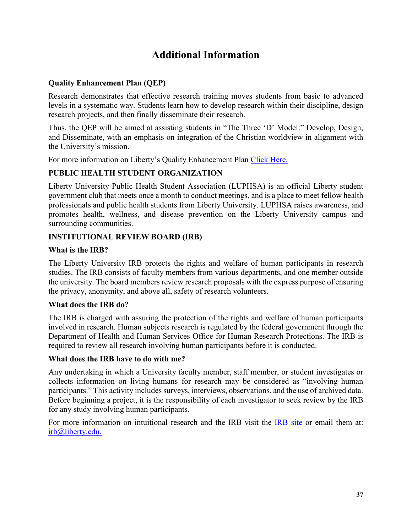# **Additional Information**

### **Quality Enhancement Plan (QEP)**

Research demonstrates that effective research training moves students from basic to advanced levels in a systematic way. Students learn how to develop research within their discipline, design research projects, and then finally disseminate their research.

Thus, the QEP will be aimed at assisting students in "The Three 'D' Model:" Develop, Design, and Disseminate, with an emphasis on integration of the Christian worldview in alignment with the University's mission.

For more information on Liberty's Quality Enhancement Plan Click Here.

### **PUBLIC HEALTH STUDENT ORGANIZATION**

Liberty University Public Health Student Association (LUPHSA) is an official Liberty student government club that meets once a month to conduct meetings, and is a place to meet fellow health professionals and public health students from Liberty University. LUPHSA raises awareness, and promotes health, wellness, and disease prevention on the Liberty University campus and surrounding communities.

### **INSTITUTIONAL REVIEW BOARD (IRB)**

### **What is the IRB?**

The Liberty University IRB protects the rights and welfare of human participants in research studies. The IRB consists of faculty members from various departments, and one member outside the university. The board members review research proposals with the express purpose of ensuring the privacy, anonymity, and above all, safety of research volunteers.

### **What does the IRB do?**

The IRB is charged with assuring the protection of the rights and welfare of human participants involved in research. Human subjects research is regulated by the federal government through the Department of Health and Human Services Office for Human Research Protections. The IRB is required to review all research involving human participants before it is conducted.

#### **What does the IRB have to do with me?**

Any undertaking in which a University faculty member, staff member, or student investigates or collects information on living humans for research may be considered as "involving human participants." This activity includes surveys, interviews, observations, and the use of archived data. Before beginning a project, it is the responsibility of each investigator to seek review by the IRB for any study involving human participants.

For more information on intuitional research and the IRB visit the IRB site or email them at: irb@liberty.edu.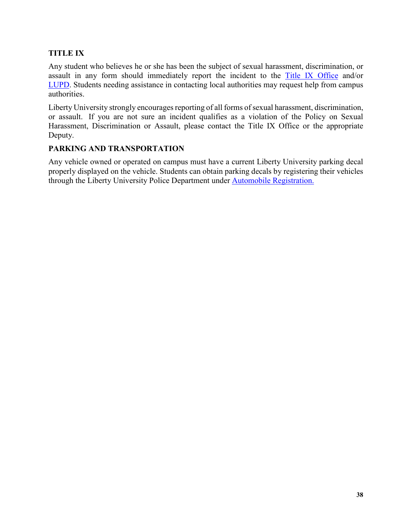### **TITLE IX**

Any student who believes he or she has been the subject of sexual harassment, discrimination, or assault in any form should immediately report the incident to the Title IX Office and/or LUPD. Students needing assistance in contacting local authorities may request help from campus authorities.

Liberty University strongly encourages reporting of all forms of sexual harassment, discrimination, or assault. If you are not sure an incident qualifies as a violation of the Policy on Sexual Harassment, Discrimination or Assault, please contact the Title IX Office or the appropriate Deputy.

#### **PARKING AND TRANSPORTATION**

Any vehicle owned or operated on campus must have a current Liberty University parking decal properly displayed on the vehicle. Students can obtain parking decals by registering their vehicles through the Liberty University Police Department under Automobile Registration.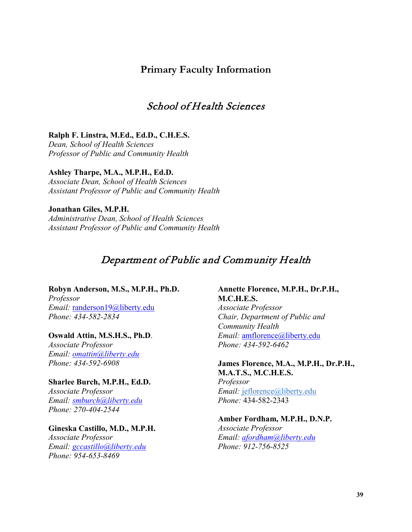### **Primary Faculty Information**

### School of Health Sciences

#### **Ralph F. Linstra, M.Ed., Ed.D., C.H.E.S.**

*Dean, School of Health Sciences Professor of Public and Community Health*

#### **Ashley Tharpe, M.A., M.P.H., Ed.D.**

*Associate Dean, School of Health Sciences Assistant Professor of Public and Community Health*

#### **Jonathan Giles, M.P.H.** *Administrative Dean, School of Health Sciences Assistant Professor of Public and Community Health*

### Department of Public and Community Health

#### **Robyn Anderson, M.S., M.P.H., Ph.D.**

*Professor Email:* randerson19@liberty.edu *Phone: 434-582-2834*

#### **Oswald Attin, M.S.H.S., Ph.D**.

*Associate Professor Email: omattin@liberty.edu Phone: 434-592-6908*

### **Sharlee Burch, M.P.H., Ed.D.**

*Associate Professor Email: smburch@liberty.edu Phone: 270-404-2544*

#### **Gineska Castillo, M.D., M.P.H.** *Associate Professor Email: gccastillo@liberty.edu Phone: 954-653-8469*

#### **Annette Florence, M.P.H., Dr.P.H., M.C.H.E.S.** *Associate Professor*

*Chair, Department of Public and Community Health Email:* amflorence@liberty.edu *Phone: 434-592-6462*

#### **James Florence, M.A., M.P.H., Dr.P.H., M.A.T.S., M.C.H.E.S.** *Professor Email:* jeflorence@liberty.edu

*Phone:* 434-582-2343

### **Amber Fordham, M.P.H., D.N.P.**

*Associate Professor Email: afordham@liberty.edu Phone: 912-756-8525*